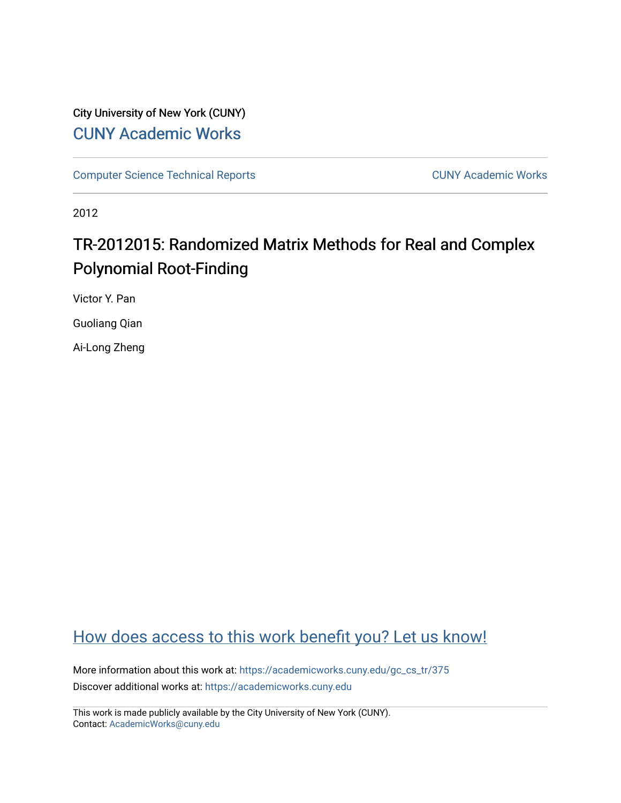## City University of New York (CUNY) [CUNY Academic Works](https://academicworks.cuny.edu/)

[Computer Science Technical Reports](https://academicworks.cuny.edu/gc_cs_tr) **CUNY Academic Works** CUNY Academic Works

2012

# TR-2012015: Randomized Matrix Methods for Real and Complex Polynomial Root-Finding

Victor Y. Pan

Guoliang Qian

Ai-Long Zheng

## [How does access to this work benefit you? Let us know!](http://ols.cuny.edu/academicworks/?ref=https://academicworks.cuny.edu/gc_cs_tr/375)

More information about this work at: [https://academicworks.cuny.edu/gc\\_cs\\_tr/375](https://academicworks.cuny.edu/gc_cs_tr/375)  Discover additional works at: [https://academicworks.cuny.edu](https://academicworks.cuny.edu/?)

This work is made publicly available by the City University of New York (CUNY). Contact: [AcademicWorks@cuny.edu](mailto:AcademicWorks@cuny.edu)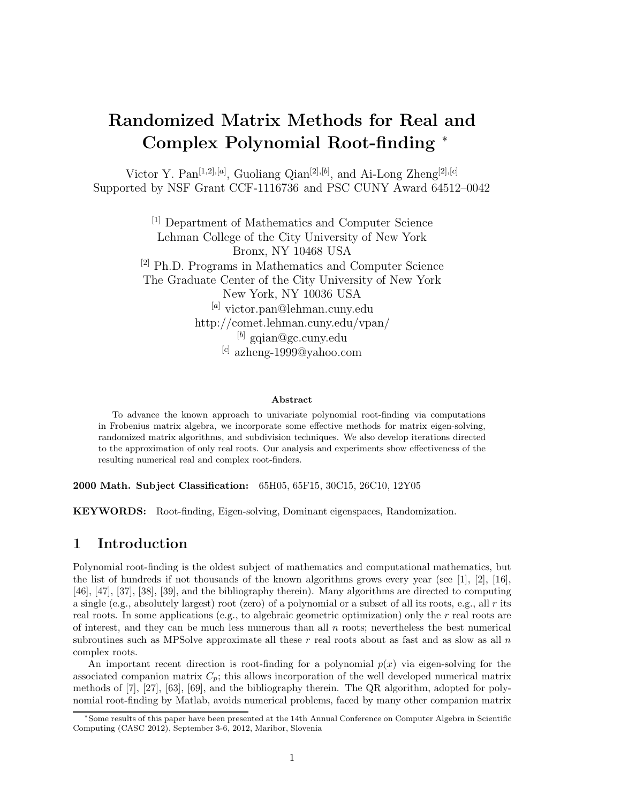# **Randomized Matrix Methods for Real and Complex Polynomial Root-finding** <sup>∗</sup>

Victor Y. Pan[1*,*2]*,*[*a*] , Guoliang Qian[2]*,*[*b*] , and Ai-Long Zheng[2]*,*[*c*] Supported by NSF Grant CCF-1116736 and PSC CUNY Award 64512–0042

> [1] Department of Mathematics and Computer Science Lehman College of the City University of New York Bronx, NY 10468 USA [2] Ph.D. Programs in Mathematics and Computer Science The Graduate Center of the City University of New York New York, NY 10036 USA [*a*] victor.pan@lehman.cuny.edu http://comet.lehman.cuny.edu/vpan/ [*b*] gqian@gc.cuny.edu [*c*] azheng-1999@yahoo.com

#### **Abstract**

To advance the known approach to univariate polynomial root-finding via computations in Frobenius matrix algebra, we incorporate some effective methods for matrix eigen-solving, randomized matrix algorithms, and subdivision techniques. We also develop iterations directed to the approximation of only real roots. Our analysis and experiments show effectiveness of the resulting numerical real and complex root-finders.

**2000 Math. Subject Classification:** 65H05, 65F15, 30C15, 26C10, 12Y05

**KEYWORDS:** Root-finding, Eigen-solving, Dominant eigenspaces, Randomization.

## **1 Introduction**

Polynomial root-finding is the oldest subject of mathematics and computational mathematics, but the list of hundreds if not thousands of the known algorithms grows every year (see [1], [2], [16], [46], [47], [37], [38], [39], and the bibliography therein). Many algorithms are directed to computing a single (e.g., absolutely largest) root (zero) of a polynomial or a subset of all its roots, e.g., all  $r$  its real roots. In some applications (e.g., to algebraic geometric optimization) only the *r* real roots are of interest, and they can be much less numerous than all *n* roots; nevertheless the best numerical subroutines such as MPSolve approximate all these *r* real roots about as fast and as slow as all *n* complex roots.

An important recent direction is root-finding for a polynomial  $p(x)$  via eigen-solving for the associated companion matrix  $C_p$ ; this allows incorporation of the well developed numerical matrix methods of [7], [27], [63], [69], and the bibliography therein. The QR algorithm, adopted for polynomial root-finding by Matlab, avoids numerical problems, faced by many other companion matrix

<sup>∗</sup>Some results of this paper have been presented at the 14th Annual Conference on Computer Algebra in Scientific Computing (CASC 2012), September 3-6, 2012, Maribor, Slovenia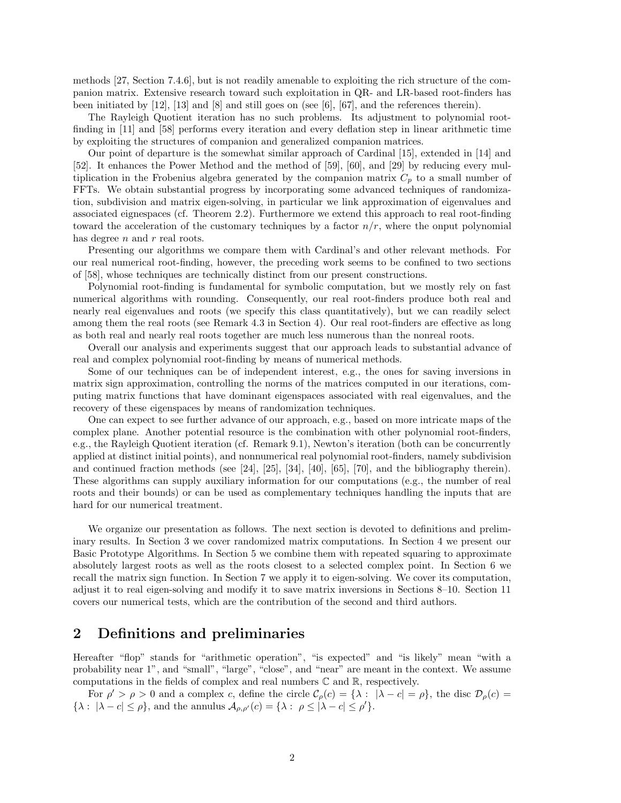methods [27, Section 7.4.6], but is not readily amenable to exploiting the rich structure of the companion matrix. Extensive research toward such exploitation in QR- and LR-based root-finders has been initiated by [12], [13] and [8] and still goes on (see [6], [67], and the references therein).

The Rayleigh Quotient iteration has no such problems. Its adjustment to polynomial rootfinding in [11] and [58] performs every iteration and every deflation step in linear arithmetic time by exploiting the structures of companion and generalized companion matrices.

Our point of departure is the somewhat similar approach of Cardinal [15], extended in [14] and [52]. It enhances the Power Method and the method of [59], [60], and [29] by reducing every multiplication in the Frobenius algebra generated by the companion matrix  $C_p$  to a small number of FFTs. We obtain substantial progress by incorporating some advanced techniques of randomization, subdivision and matrix eigen-solving, in particular we link approximation of eigenvalues and associated eignespaces (cf. Theorem 2.2). Furthermore we extend this approach to real root-finding toward the acceleration of the customary techniques by a factor  $n/r$ , where the onput polynomial has degree *n* and *r* real roots.

Presenting our algorithms we compare them with Cardinal's and other relevant methods. For our real numerical root-finding, however, the preceding work seems to be confined to two sections of [58], whose techniques are technically distinct from our present constructions.

Polynomial root-finding is fundamental for symbolic computation, but we mostly rely on fast numerical algorithms with rounding. Consequently, our real root-finders produce both real and nearly real eigenvalues and roots (we specify this class quantitatively), but we can readily select among them the real roots (see Remark 4.3 in Section 4). Our real root-finders are effective as long as both real and nearly real roots together are much less numerous than the nonreal roots.

Overall our analysis and experiments suggest that our approach leads to substantial advance of real and complex polynomial root-finding by means of numerical methods.

Some of our techniques can be of independent interest, e.g., the ones for saving inversions in matrix sign approximation, controlling the norms of the matrices computed in our iterations, computing matrix functions that have dominant eigenspaces associated with real eigenvalues, and the recovery of these eigenspaces by means of randomization techniques.

One can expect to see further advance of our approach, e.g., based on more intricate maps of the complex plane. Another potential resource is the combination with other polynomial root-finders, e.g., the Rayleigh Quotient iteration (cf. Remark 9.1), Newton's iteration (both can be concurrently applied at distinct initial points), and nonnumerical real polynomial root-finders, namely subdivision and continued fraction methods (see [24], [25], [34], [40], [65], [70], and the bibliography therein). These algorithms can supply auxiliary information for our computations (e.g., the number of real roots and their bounds) or can be used as complementary techniques handling the inputs that are hard for our numerical treatment.

We organize our presentation as follows. The next section is devoted to definitions and preliminary results. In Section 3 we cover randomized matrix computations. In Section 4 we present our Basic Prototype Algorithms. In Section 5 we combine them with repeated squaring to approximate absolutely largest roots as well as the roots closest to a selected complex point. In Section 6 we recall the matrix sign function. In Section 7 we apply it to eigen-solving. We cover its computation, adjust it to real eigen-solving and modify it to save matrix inversions in Sections 8–10. Section 11 covers our numerical tests, which are the contribution of the second and third authors.

## **2 Definitions and preliminaries**

Hereafter "flop" stands for "arithmetic operation", "is expected" and "is likely" mean "with a probability near 1", and "small", "large", "close", and "near" are meant in the context. We assume computations in the fields of complex and real numbers  $\mathbb C$  and  $\mathbb R$ , respectively.

For  $\rho' > \rho > 0$  and a complex *c*, define the circle  $\mathcal{C}_{\rho}(c) = \{\lambda : |\lambda - c| = \rho\}$ , the disc  $\mathcal{D}_{\rho}(c) =$  $\{\lambda : |\lambda - c| \leq \rho\}$ , and the annulus  $\mathcal{A}_{\rho,\rho'}(c) = \{\lambda : \rho \leq |\lambda - c| \leq \rho'\}.$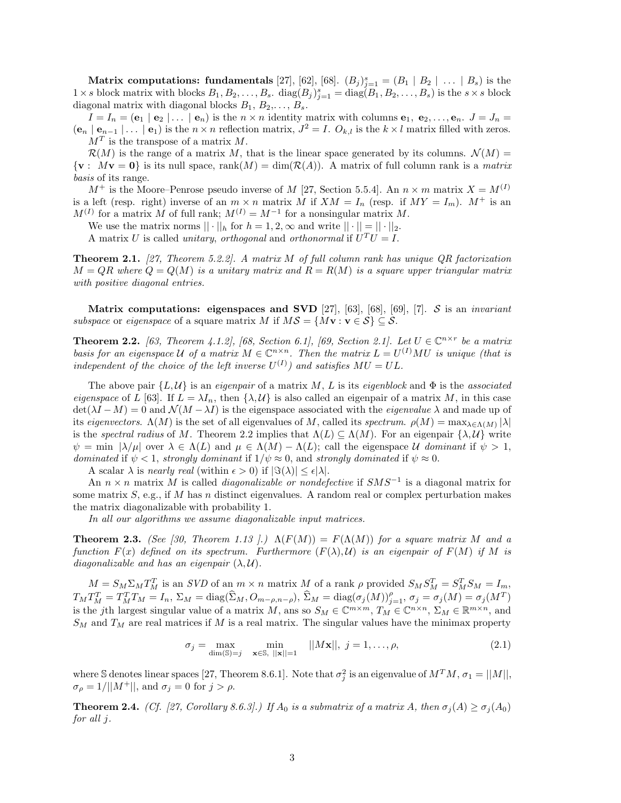**Matrix computations: fundamentals** [27], [62], [68].  $(B_j)_{j=1}^s = (B_1 \mid B_2 \mid \ldots \mid B_s)$  is the  $1 \times s$  block matrix with blocks  $B_1, B_2, \ldots, B_s$ . diag $(B_j)_{j=1}^s = \text{diag}(B_1, B_2, \ldots, B_s)$  is the  $s \times s$  block diagonal matrix with diagonal blocks  $B_1, B_2, \ldots, B_s$ .

 $I = I_n = (e_1 \mid e_2 \mid \dots \mid e_n)$  is the  $n \times n$  identity matrix with columns  $e_1, e_2, \dots, e_n$ .  $J = J_n =$  $(e_n | e_{n-1} | ... | e_1)$  is the  $n \times n$  reflection matrix,  $J^2 = I$ .  $O_{k,l}$  is the  $k \times l$  matrix filled with zeros. *M<sup>T</sup>* is the transpose of a matrix *M*.

 $\mathcal{R}(M)$  is the range of a matrix M, that is the linear space generated by its columns.  $\mathcal{N}(M)$  =  ${\bf v} : M{\bf v} = 0$  is its null space, rank $(M) = \dim(R(A))$ . A matrix of full column rank is a *matrix basis* of its range.

 $M^+$  is the Moore–Penrose pseudo inverse of *M* [27, Section 5.5.4]. An  $n \times m$  matrix  $X = M^{(I)}$ is a left (resp. right) inverse of an  $m \times n$  matrix  $\dot{M}$  if  $XM = I_n$  (resp. if  $MY = I_m$ ).  $M^+$  is an  $M^{(I)}$  for a matrix *M* of full rank;  $M^{(I)} = M^{-1}$  for a nonsingular matrix *M*.

We use the matrix norms  $|| \cdot ||_h$  for  $h = 1, 2, \infty$  and write  $|| \cdot || = || \cdot ||_2$ .

A matrix *U* is called *unitary*, *orthogonal* and *orthonormal* if  $U^T U = I$ .

**Theorem 2.1.** *[27, Theorem 5.2.2]. A matrix M of full column rank has unique QR factorization*  $M = QR$  where  $Q = Q(M)$  *is a unitary matrix and*  $R = R(M)$  *is a square upper triangular matrix with positive diagonal entries.*

**Matrix computations: eigenspaces and SVD** [27], [63], [68], [69], [7]. S is an *invariant subspace* or *eigenspace* of a square matrix *M* if  $M\mathcal{S} = \{M\mathbf{v} : \mathbf{v} \in \mathcal{S}\} \subseteq \mathcal{S}$ .

**Theorem 2.2.** [63, Theorem 4.1.2], [68, Section 6.1], [69, Section 2.1]. Let  $U \in \mathbb{C}^{n \times r}$  be a matrix *basis for an eigenspace*  $U$  *of a matrix*  $M \in \mathbb{C}^{n \times n}$ . Then the matrix  $L = U^{(I)}MU$  *is unique (that is independent of the choice of the left inverse*  $U^{(I)}$  and satisfies  $MU = UL$ .

The above pair  $\{L, \mathcal{U}\}\$ is an *eigenpair* of a matrix *M*, *L* is its *eigenblock* and  $\Phi$  is the *associated eigenspace* of *L* [63]. If  $L = \lambda I_n$ , then  $\{\lambda, \mathcal{U}\}\$ is also called an eigenpair of a matrix *M*, in this case  $\det(\lambda I - M) = 0$  and  $\mathcal{N}(M - \lambda I)$  is the eigenspace associated with the *eigenvalue*  $\lambda$  and made up of its *eigenvectors*.  $\Lambda(M)$  is the set of all eigenvalues of M, called its *spectrum*.  $\rho(M) = \max_{\lambda \in \Lambda(M)} |\lambda|$ is the *spectral radius* of *M*. Theorem 2.2 implies that  $\Lambda(L) \subseteq \Lambda(M)$ . For an eigenpair  $\{\lambda, \mathcal{U}\}\$  write  $\psi = \min |\lambda/\mu|$  over  $\lambda \in \Lambda(L)$  and  $\mu \in \Lambda(M) - \Lambda(L)$ ; call the eigenspace U dominant if  $\psi > 1$ , *dominated* if  $\psi < 1$ , *strongly dominant* if  $1/\psi \approx 0$ , and *strongly dominated* if  $\psi \approx 0$ .

A scalar  $\lambda$  is *nearly real* (within  $\epsilon > 0$ ) if  $|\Im(\lambda)| < \epsilon |\lambda|$ .

An *n* × *n* matrix *M* is called *diagonalizable or nondefective* if *SMS*−<sup>1</sup> is a diagonal matrix for some matrix *S*, e.g., if *M* has *n* distinct eigenvalues. A random real or complex perturbation makes the matrix diagonalizable with probability 1.

*In all our algorithms we assume diagonalizable input matrices.*

**Theorem 2.3.** *(See [30, Theorem 1.13 ].)*  $\Lambda(F(M)) = F(\Lambda(M))$  *for a square matrix M and a function*  $F(x)$  *defined on its spectrum. Furthermore*  $(F(\lambda), \mathcal{U})$  *is an eigenpair of*  $F(M)$  *if*  $M$  *is diagonalizable and has an eigenpair*  $(\lambda, \mathcal{U})$ *.* 

 $M = S_M \Sigma_M T_M^T$  is an *SVD* of an  $m \times n$  matrix M of a rank  $\rho$  provided  $S_M S_M^T = S_M^T S_M = I_m$ ,  $T_M T_M^T = T_M^T T_M = I_n, \Sigma_M = \text{diag}(\widehat{\Sigma}_M, O_{m-\rho,n-\rho}), \widehat{\Sigma}_M = \text{diag}(\sigma_j(M))_{j=1}^{\rho}, \sigma_j = \sigma_j(M) = \sigma_j(M^T)$ is the *j*th largest singular value of a matrix *M*, ans so  $S_M \in \mathbb{C}^{m \times m}$ ,  $T_M \in \mathbb{C}^{n \times n}$ ,  $\Sigma_M \in \mathbb{R}^{m \times n}$ , and *S<sup>M</sup>* and *T<sup>M</sup>* are real matrices if *M* is a real matrix. The singular values have the minimax property

$$
\sigma_j = \max_{\dim(\mathbb{S}) = j} \min_{\mathbf{x} \in \mathbb{S}, \; ||\mathbf{x}|| = 1} \; ||M\mathbf{x}||, \; j = 1, \dots, \rho,
$$
\n
$$
(2.1)
$$

where S denotes linear spaces [27, Theorem 8.6.1]. Note that  $\sigma_j^2$  is an eigenvalue of  $M^T M$ ,  $\sigma_1 = ||M||$ ,  $\sigma_{\rho} = 1/||M^+||$ , and  $\sigma_{j} = 0$  for  $j > \rho$ .

**Theorem 2.4.** *(Cf. [27, Corollary 8.6.3].) If*  $A_0$  *is a submatrix of a matrix*  $A$ *, then*  $\sigma_j(A) \geq \sigma_j(A_0)$ *for all j.*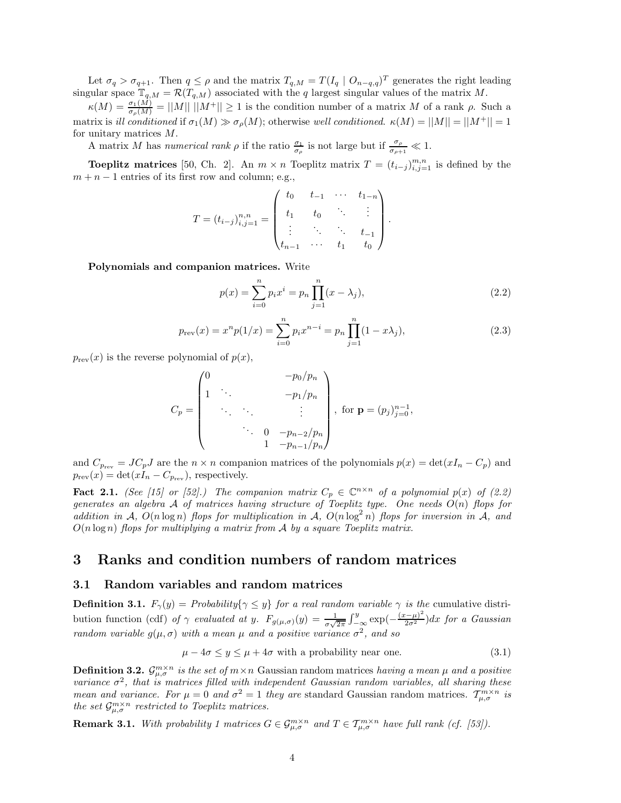Let  $\sigma_q > \sigma_{q+1}$ . Then  $q \leq \rho$  and the matrix  $T_{q,M} = T(I_q \mid O_{n-q,q})^T$  generates the right leading singular space  $\mathbb{T}_{q,M} = \mathcal{R}(T_{q,M})$  associated with the *q* largest singular values of the matrix *M*.

 $\kappa(M) = \frac{\sigma_1(M)}{\sigma_p(M)} = ||M|| \, ||M^+|| \geq 1$  is the condition number of a matrix *M* of a rank *ρ*. Such a matrix is *ill conditioned* if  $\sigma_1(M) \gg \sigma_\rho(M)$ ; otherwise *well conditioned.*  $\kappa(M) = ||M|| = ||M^+|| = 1$ for unitary matrices *M*.

A matrix *M* has *numerical rank*  $\rho$  if the ratio  $\frac{\sigma_1}{\sigma_\rho}$  is not large but if  $\frac{\sigma_\rho}{\sigma_{\rho+1}} \ll 1$ .

**Toeplitz matrices** [50, Ch. 2]. An  $m \times n$  Toeplitz matrix  $T = (t_{i-j})_{i,j=1}^{m,n}$  is defined by the  $m + n - 1$  entries of its first row and column; e.g.,

$$
T = (t_{i-j})_{i,j=1}^{n,n} = \begin{pmatrix} t_0 & t_{-1} & \cdots & t_{1-n} \\ t_1 & t_0 & \ddots & \vdots \\ \vdots & \ddots & \ddots & t_{-1} \\ t_{n-1} & \cdots & t_1 & t_0 \end{pmatrix}.
$$

**Polynomials and companion matrices.** Write

$$
p(x) = \sum_{i=0}^{n} p_i x^i = p_n \prod_{j=1}^{n} (x - \lambda_j),
$$
\n(2.2)

$$
p_{rev}(x) = x^n p(1/x) = \sum_{i=0}^n p_i x^{n-i} = p_n \prod_{j=1}^n (1 - x\lambda_j),
$$
\n(2.3)

 $p_{rev}(x)$  is the reverse polynomial of  $p(x)$ ,

$$
C_p = \begin{pmatrix} 0 & & & & -p_0/p_n \\ 1 & \ddots & & & & \\ & & -p_1/p_n & & \\ & & \ddots & & & \vdots \\ & & & \ddots & 0 & -p_{n-2}/p_n \\ & & & & 1 & -p_{n-1}/p_n \end{pmatrix}, \text{ for } \mathbf{p} = (p_j)_{j=0}^{n-1},
$$

and  $C_{p_{\text{rev}}} = JC_pJ$  are the  $n \times n$  companion matrices of the polynomials  $p(x) = \det(xI_n - C_p)$  and  $p_{rev}(x) = \det(xI_n - C_{p_{rev}})$ , respectively.

**Fact 2.1.** *(See [15] or [52].) The companion matrix*  $C_p \in \mathbb{C}^{n \times n}$  *of a polynomial*  $p(x)$  *of (2.2) generates an algebra* A *of matrices having structure of Toeplitz type. One needs O*(*n*) *flops for addition in* A,  $O(n \log n)$  *flops for multiplication in* A,  $O(n \log^2 n)$  *flops for inversion in* A, and *O*(*n* log *n*) *flops for multiplying a matrix from* A *by a square Toeplitz matrix.*

## **3 Ranks and condition numbers of random matrices**

### **3.1 Random variables and random matrices**

**Definition 3.1.**  $F_\gamma(y) = \text{Probability}\{\gamma \leq y\}$  for a real random variable  $\gamma$  is the cumulative distribution function (cdf) of  $\gamma$  evaluated at y.  $F_{g(\mu,\sigma)}(y) = \frac{1}{\sigma\sqrt{2\pi}} \int_{-\infty}^{y} \exp(-\frac{(x-\mu)^2}{2\sigma^2}) dx$  for a Gaussian *random variable*  $g(\mu, \sigma)$  *with a mean*  $\mu$  *and a positive variance*  $\sigma^2$ *, and so* 

 $\mu - 4\sigma \leq y \leq \mu + 4\sigma$  with a probability near one. (3.1)

**Definition 3.2.**  $\mathcal{G}^{m\times n}_{\mu,\sigma}$  *is the set of*  $m\times n$  Gaussian random matrices *having a mean*  $\mu$  *and a positive variance σ*<sup>2</sup>*, that is matrices filled with independent Gaussian random variables, all sharing these mean and variance. For*  $\mu = 0$  *and*  $\sigma^2 = 1$  *they are* standard Gaussian random matrices.  $\mathcal{T}_{\mu,\sigma}^{m \times n}$  *is the set*  $\mathcal{G}_{\mu,\sigma}^{m\times n}$  *restricted to Toeplitz matrices.* 

**Remark 3.1.** *With probability 1 matrices*  $G \in \mathcal{G}_{\mu,\sigma}^{m \times n}$  *and*  $T \in \mathcal{T}_{\mu,\sigma}^{m \times n}$  *have full rank (cf. [53]).*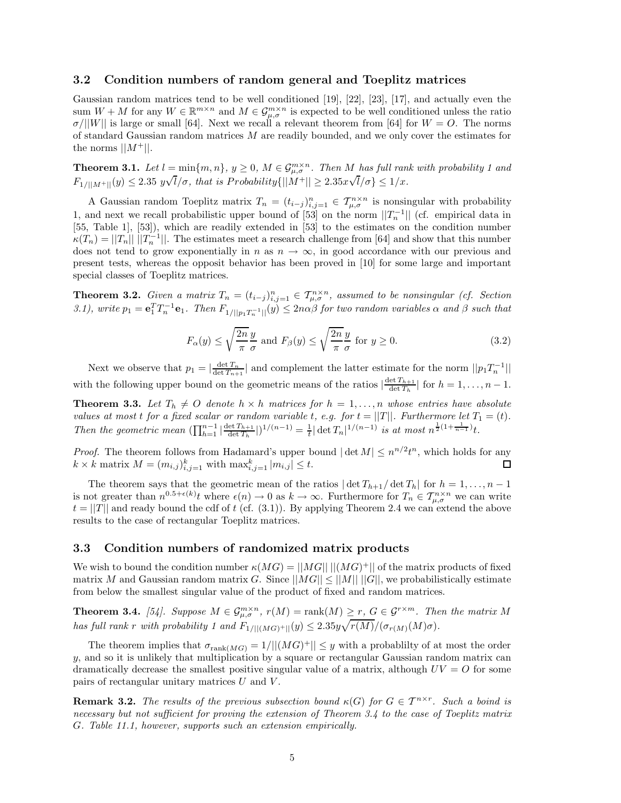#### **3.2 Condition numbers of random general and Toeplitz matrices**

Gaussian random matrices tend to be well conditioned [19], [22], [23], [17], and actually even the sum  $W + M$  for any  $W \in \mathbb{R}^{m \times n}$  and  $M \in \mathcal{G}_{\mu,\sigma}^{m \times n}$  is expected to be well conditioned unless the ratio  $\sigma/||W||$  is large or small [64]. Next we recall a relevant theorem from [64] for  $W = O$ . The norms of standard Gaussian random matrices *M* are readily bounded, and we only cover the estimates for the norms  $||M^+||$ .

**Theorem 3.1.** *Let*  $l = \min\{m, n\}$ *,*  $y \geq 0$ *,*  $M \in \mathcal{G}_{\mu,\sigma}^{m \times n}$ *. Then*  $M$  *has full rank with probability 1 and*  $F_{1/||M^+||}(y) \le 2.35 y$  $\sqrt{l}/\sigma$ , that is Probability $\{|M^+|| \geq 2.35x\sqrt{l}/\sigma\}$  $l/\sigma\} \leq 1/x$ *.* 

A Gaussian random Toeplitz matrix  $T_n = (t_{i-j})_{i,j=1}^n \in \mathcal{T}_{\mu,\sigma}^{n \times n}$  is nonsingular with probability 1, and next we recall probabilistic upper bound of [53] on the norm  $||T_n^{-1}||$  (cf. empirical data in [55, Table 1], [53]), which are readily extended in [53] to the estimates on the condition number  $\kappa(T_n) = ||T_n|| \, ||T_n^{-1}||$ . The estimates meet a research challenge from [64] and show that this number does not tend to grow exponentially in *n* as  $n \to \infty$ , in good accordance with our previous and present tests, whereas the opposit behavior has been proved in [10] for some large and important special classes of Toeplitz matrices.

**Theorem 3.2.** Given a matrix  $T_n = (t_{i-j})_{i,j=1}^n \in \mathcal{T}_{\mu,\sigma}^{n \times n}$ , assumed to be nonsingular (cf. Section 3.1), write  $p_1 = e_1^T T_n^{-1} e_1$ . Then  $F_{1/||p_1 T_n^{-1}||}(y) \le 2n\alpha\beta$  for two random variables  $\alpha$  and  $\beta$  such that

$$
F_{\alpha}(y) \le \sqrt{\frac{2n}{\pi}} \frac{y}{\sigma} \text{ and } F_{\beta}(y) \le \sqrt{\frac{2n}{\pi}} \frac{y}{\sigma} \text{ for } y \ge 0. \tag{3.2}
$$

Next we observe that  $p_1 = \left| \frac{\det T_n}{\det T_{n+1}} \right|$  and complement the latter estimate for the norm  $||p_1 T_n^{-1}||$ with the following upper bound on the geometric means of the ratios  $\left|\frac{\det T_{h+1}}{\det T_h}\right|$  for  $h = 1, \ldots, n-1$ .

**Theorem 3.3.** Let  $T_h \neq O$  denote  $h \times h$  matrices for  $h = 1, \ldots, n$  whose entries have absolute *values at most t for a fixed scalar or random variable t*, *e.g. for*  $t = ||T||$ *. Furthermore let*  $T_1 = (t)$ *.* Then the geometric mean  $(\prod_{h=1}^{n-1} |\frac{\det T_{h+1}}{\det T_h}|)^{1/(n-1)} = \frac{1}{t} |\det T_n|^{1/(n-1)}$  is at most  $n^{\frac{1}{2}(1+\frac{1}{n-1})}t$ .

*Proof.* The theorem follows from Hadamard's upper bound  $|\det M| \leq n^{n/2}t^n$ , which holds for any  $k \times k$  matrix  $M = (m_{i,j})_{i,j=1}^k$  with  $\max_{i,j=1}^k |m_{i,j}| \leq t$ . 口

The theorem says that the geometric mean of the ratios  $|\det T_{h+1}/\det T_h|$  for  $h = 1, \ldots, n-1$ is not greater than  $n^{0.5+\epsilon(k)}$  where  $\epsilon(n) \to 0$  as  $k \to \infty$ . Furthermore for  $T_n \in \mathcal{T}_{\mu,\sigma}^{n \times n}$  we can write  $t = ||T||$  and ready bound the cdf of t (cf.  $(3.1)$ ). By applying Theorem 2.4 we can extend the above results to the case of rectangular Toeplitz matrices.

#### **3.3 Condition numbers of randomized matrix products**

We wish to bound the condition number  $\kappa(MG) = ||MG|| \, ||(MG)^+||$  of the matrix products of fixed matrix *M* and Gaussian random matrix *G*. Since  $||MG|| \le ||M|| ||G||$ , we probabilistically estimate from below the smallest singular value of the product of fixed and random matrices.

**Theorem 3.4.** [54]. Suppose  $M \in \mathcal{G}_{\mu,\sigma}^{m \times n}$ ,  $r(M) = \text{rank}(M) \geq r$ ,  $G \in \mathcal{G}^{r \times m}$ . Then the matrix M *has full rank r with probability* 1 and  $F_{1/||(MG)^+||}(y) \leq 2.35y\sqrt{r(M)}/(\sigma_{r(M)}(M)\sigma)$ .

The theorem implies that  $\sigma_{rank(MG)} = 1/||(MG)^+|| \leq y$  with a probablilty of at most the order *y*, and so it is unlikely that multiplication by a square or rectangular Gaussian random matrix can dramatically decrease the smallest positive singular value of a matrix, although *UV* = *O* for some pairs of rectangular unitary matrices *U* and *V* .

**Remark 3.2.** *The results of the previous subsection bound*  $\kappa(G)$  *for*  $G \in T^{n \times r}$ *. Such a boind is necessary but not sufficient for proving the extension of Theorem 3.4 to the case of Toeplitz matrix G. Table 11.1, however, supports such an extension empirically.*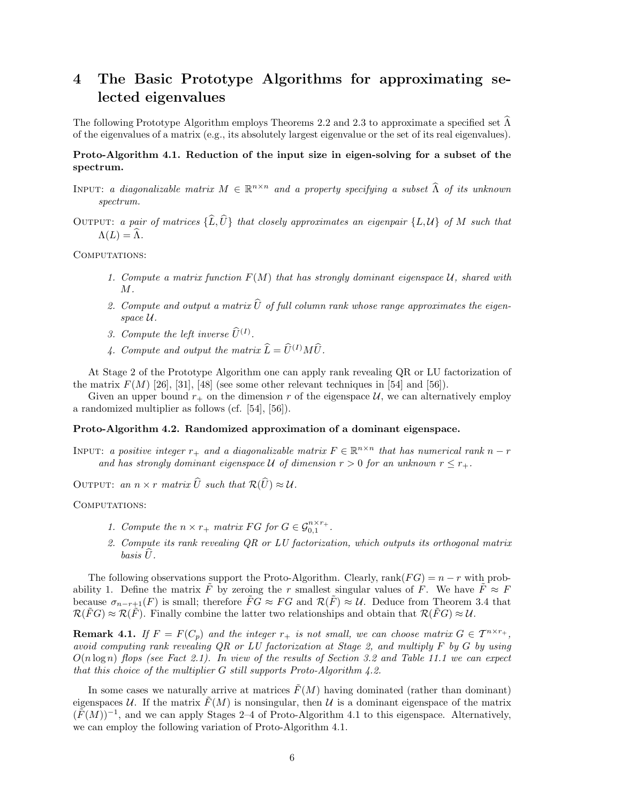## **4 The Basic Prototype Algorithms for approximating selected eigenvalues**

The following Prototype Algorithm employs Theorems 2.2 and 2.3 to approximate a specified set  $\widehat{\Lambda}$ of the eigenvalues of a matrix (e.g., its absolutely largest eigenvalue or the set of its real eigenvalues).

### **Proto-Algorithm 4.1. Reduction of the input size in eigen-solving for a subset of the spectrum.**

- INPUT: *a diagonalizable matrix*  $M \in \mathbb{R}^{n \times n}$  *and a property specifying a subset*  $\widehat{\Lambda}$  *of its unknown spectrum.*
- OUTPUT: *a pair of matrices*  $\{\widehat{L}, \widehat{U}\}$  *that closely approximates an eigenpair*  $\{L, \mathcal{U}\}$  *of M such that*  $\Lambda(L) = \widehat{\Lambda}$ .

COMPUTATIONS:

- *1. Compute a matrix function F*(*M*) *that has strongly dominant eigenspace* U*, shared with M.*
- 2. Compute and output a matrix  $\widehat{U}$  of full column rank whose range approximates the eigenspace  $U$ .
- *3. Compute the left inverse*  $\widehat{U}^{(I)}$ *.*
- 4. Compute and output the matrix  $\hat{L} = \hat{U}^{(I)}M\hat{U}$ .

At Stage 2 of the Prototype Algorithm one can apply rank revealing QR or LU factorization of the matrix  $F(M)$  [26], [31], [48] (see some other relevant techniques in [54] and [56]).

Given an upper bound  $r_{+}$  on the dimension r of the eigenspace  $\mathcal{U}$ , we can alternatively employ a randomized multiplier as follows (cf. [54], [56]).

#### **Proto-Algorithm 4.2. Randomized approximation of a dominant eigenspace.**

INPUT: *a positive integer*  $r_+$  *and a diagonalizable matrix*  $F \in \mathbb{R}^{n \times n}$  *that has numerical rank*  $n - r$ *and has strongly dominant eigenspace*  $U$  *of dimension*  $r > 0$  *for an unknown*  $r \leq r_+$ *.* 

OUTPUT: an  $n \times r$  matrix  $\widehat{U}$  such that  $\mathcal{R}(\widehat{U}) \approx \mathcal{U}$ .

COMPUTATIONS:

- *1. Compute the*  $n \times r_+$  *matrix*  $FG$  *for*  $G \in \mathcal{G}_{0,1}^{n \times r_+}$ *.*
- *2. Compute its rank revealing QR or LU factorization, which outputs its orthogonal matrix*  $basis \hat{U}$ .

The following observations support the Proto-Algorithm. Clearly, rank $(FG) = n - r$  with probability 1. Define the matrix *F* by zeroing the *r* smallest singular values of *F*. We have  $F \approx F$ because  $\sigma_{n-r+1}(F)$  is small; therefore  $\overline{F}G \approx FG$  and  $\mathcal{R}(F) \approx U$ . Deduce from Theorem 3.4 that  $\mathcal{R}(FG) \approx \mathcal{R}(F)$ . Finally combine the latter two relationships and obtain that  $\mathcal{R}(FG) \approx \mathcal{U}$ .

**Remark 4.1.** *If*  $F = F(C_p)$  *and the integer*  $r_+$  *is not small, we can choose matrix*  $G \in T^{n \times r_+}$ , *avoid computing rank revealing QR or LU factorization at Stage 2, and multiply F by G by using*  $O(n \log n)$  *flops (see Fact 2.1). In view of the results of Section 3.2 and Table 11.1 we can expect that this choice of the multiplier G still supports Proto-Algorithm 4.2.*

In some cases we naturally arrive at matrices  $\tilde{F}(M)$  having dominated (rather than dominant) eigenspaces U. If the matrix  $\tilde{F}(M)$  is nonsingular, then U is a dominant eigenspace of the matrix  $(F(M))^{-1}$ , and we can apply Stages 2–4 of Proto-Algorithm 4.1 to this eigenspace. Alternatively, we can employ the following variation of Proto-Algorithm 4.1.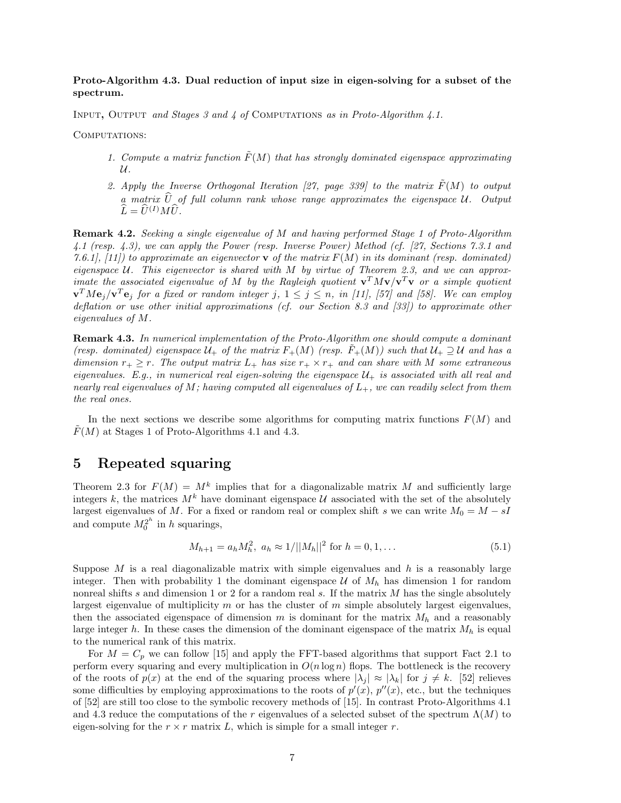**Proto-Algorithm 4.3. Dual reduction of input size in eigen-solving for a subset of the spectrum.**

Input**,** Output *and Stages 3 and 4 of* Computations *as in Proto-Algorithm 4.1.*

COMPUTATIONS:

- *1. Compute a matrix function*  $\tilde{F}(M)$  *that has strongly dominated eigenspace approximating* U*.*
- *2. Apply the Inverse Orthogonal Iteration [27, page 339] to the matrix F*˜(*M*) *to output a matrix*  $\hat{U}$  *of full column rank whose range approximates the eigenspace*  $U$ *. Output*  $\hat{L} = \hat{U}^{(I)} M \hat{U}$ .

**Remark 4.2.** *Seeking a single eigenvalue of M and having performed Stage 1 of Proto-Algorithm 4.1 (resp. 4.3), we can apply the Power (resp. Inverse Power) Method (cf. [27, Sections 7.3.1 and 7.6.1], [11]) to approximate an eigenvector* **v** *of the matrix F*(*M*) *in its dominant (resp. dominated) eigenspace* U*. This eigenvector is shared with M by virtue of Theorem 2.3, and we can approximate the associated eigenvalue of M by the Rayleigh quotient* **v***<sup>T</sup>M***v***/***v***<sup>T</sup>* **v** *or a simple quotient*  $\mathbf{v}^T M \mathbf{e}_j / \mathbf{v}^T \mathbf{e}_j$  for a fixed or random integer *j*,  $1 \leq j \leq n$ , in [11], [57] and [58]. We can employ *deflation or use other initial approximations (cf. our Section 8.3 and [33]) to approximate other eigenvalues of M.*

**Remark 4.3.** *In numerical implementation of the Proto-Algorithm one should compute a dominant (resp. dominated) eigenspace*  $U_+$  *of the matrix*  $F_+(M)$  *(resp.*  $\tilde{F}_+(M)$ *) such that*  $U_+ \supseteq U$  *and has a dimension*  $r_+ \geq r$ *. The output matrix*  $L_+$  *has size*  $r_+ \times r_+$  *and can share with M some extraneous*  $eigenvalues.$  E.g., in numerical real eigen-solving the eigenspace  $\mathcal{U}_+$  is associated with all real and *nearly real eigenvalues of M; having computed all eigenvalues of L*+*, we can readily select from them the real ones.*

In the next sections we describe some algorithms for computing matrix functions *F*(*M*) and  $F(M)$  at Stages 1 of Proto-Algorithms 4.1 and 4.3.

## **5 Repeated squaring**

Theorem 2.3 for  $F(M) = M^k$  implies that for a diagonalizable matrix M and sufficiently large integers k, the matrices  $M^k$  have dominant eigenspace  $\mathcal U$  associated with the set of the absolutely largest eigenvalues of *M*. For a fixed or random real or complex shift *s* we can write  $M_0 = M - sI$ and compute  $M_0^{2^h}$  in *h* squarings,

$$
M_{h+1} = a_h M_h^2, \ a_h \approx 1/||M_h||^2 \text{ for } h = 0, 1, ... \tag{5.1}
$$

Suppose  $M$  is a real diagonalizable matrix with simple eigenvalues and  $h$  is a reasonably large integer. Then with probability 1 the dominant eigenspace  $\mathcal U$  of  $M_h$  has dimension 1 for random nonreal shifts *s* and dimension 1 or 2 for a random real *s*. If the matrix *M* has the single absolutely largest eigenvalue of multiplicity *m* or has the cluster of *m* simple absolutely largest eigenvalues, then the associated eigenspace of dimension  $m$  is dominant for the matrix  $M_h$  and a reasonably large integer  $h$ . In these cases the dimension of the dominant eigenspace of the matrix  $M_h$  is equal to the numerical rank of this matrix.

For  $M = C_p$  we can follow [15] and apply the FFT-based algorithms that support Fact 2.1 to perform every squaring and every multiplication in  $O(n \log n)$  flops. The bottleneck is the recovery of the roots of  $p(x)$  at the end of the squaring process where  $|\lambda_i| \approx |\lambda_k|$  for  $j \neq k$ . [52] relieves some difficulties by employing approximations to the roots of  $p'(x)$ ,  $p''(x)$ , etc., but the techniques of [52] are still too close to the symbolic recovery methods of [15]. In contrast Proto-Algorithms 4.1 and 4.3 reduce the computations of the *r* eigenvalues of a selected subset of the spectrum  $\Lambda(M)$  to eigen-solving for the  $r \times r$  matrix  $L$ , which is simple for a small integer  $r$ .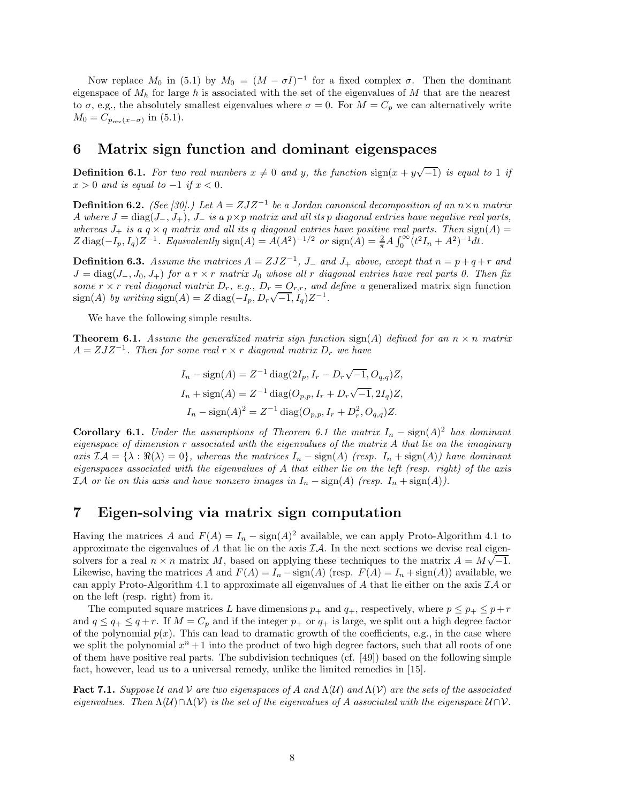Now replace  $M_0$  in (5.1) by  $M_0 = (M - \sigma I)^{-1}$  for a fixed complex  $\sigma$ . Then the dominant eigenspace of *M<sup>h</sup>* for large *h* is associated with the set of the eigenvalues of *M* that are the nearest to  $\sigma$ , e.g., the absolutely smallest eigenvalues where  $\sigma = 0$ . For  $M = C_p$  we can alternatively write  $M_0 = C_{p_{rev}(x-\sigma)}$  in (5.1).

## **6 Matrix sign function and dominant eigenspaces**

**Definition 6.1.** For two real numbers  $x \neq 0$  and y, the function  $\text{sign}(x + y\sqrt{-1})$  is equal to 1 if  $x > 0$  *and is equal to* −1 *if*  $x < 0$ *.* 

**Definition 6.2.** *(See [30].)* Let  $A = ZJZ^{-1}$  be a Jordan canonical decomposition of an  $n \times n$  *matrix A* where  $J = \text{diag}(J_-, J_+), J_-$  *is a*  $p \times p$  *matrix and all its p diagonal entries have negative real parts, whereas*  $J_+$  *is a*  $q \times q$  *matrix and all its q diagonal entries have positive real parts. Then*  $sign(A)$  = Z diag $(-I_p, I_q)Z^{-1}$ . Equivalently sign(A) =  $A(A^2)^{-1/2}$  or sign(A) =  $\frac{2}{\pi}A \int_0^{\infty} (t^2 I_n + A^2)^{-1} dt$ .

**Definition 6.3.** Assume the matrices  $A = ZJZ^{-1}$ ,  $J$ <sub>−</sub> and  $J$ <sub>+</sub> above, except that  $n = p + q + r$  and  $J = \text{diag}(J_-, J_0, J_+)$  *for a*  $r \times r$  *matrix*  $J_0$  *whose all*  $r$  *diagonal entries have real parts 0. Then fix some*  $r \times r$  *real diagonal matrix*  $D_r$ *, e.g.,*  $D_r = O_{r,r}$ *, and define a* generalized matrix sign function  $\lim_{x \to a} \int F(x, y) \, dy$  writing  $\operatorname{sign}(A) = Z \operatorname{diag}(-I_p, D_r \sqrt{-1}, I_q) Z^{-1}$ .

We have the following simple results.

**Theorem 6.1.** *Assume the generalized matrix sign function*  $\text{sign}(A)$  *defined for an*  $n \times n$  *matrix*  $A = ZJZ^{-1}$ . Then for some real  $r \times r$  diagonal matrix  $D_r$  we have

$$
I_n - \text{sign}(A) = Z^{-1} \text{ diag}(2I_p, I_r - D_r \sqrt{-1}, O_{q,q}) Z,
$$
  
\n
$$
I_n + \text{sign}(A) = Z^{-1} \text{ diag}(O_{p,p}, I_r + D_r \sqrt{-1}, 2I_q) Z,
$$
  
\n
$$
I_n - \text{sign}(A)^2 = Z^{-1} \text{ diag}(O_{p,p}, I_r + D_r^2, O_{q,q}) Z.
$$

**Corollary 6.1.** *Under the assumptions of Theorem 6.1 the matrix*  $I_n - \text{sign}(A)^2$  *has dominant eigenspace of dimension r associated with the eigenvalues of the matrix A that lie on the imaginary*  $axis \mathcal{IA} = {\lambda : \Re(\lambda) = 0}$ *, whereas the matrices*  $I_n - \text{sign}(A)$  *(resp.*  $I_n + \text{sign}(A)$ *) have dominant eigenspaces associated with the eigenvalues of A that either lie on the left (resp. right) of the axis IA or lie on this axis and have nonzero images in*  $I_n$  − sign(*A*) *(resp.*  $I_n$  + sign(*A*)*)*.

## **7 Eigen-solving via matrix sign computation**

Having the matrices *A* and  $F(A) = I_n - \text{sign}(A)^2$  available, we can apply Proto-Algorithm 4.1 to approximate the eigenvalues of  $A$  that lie on the axis  $I\mathcal{A}$ . In the next sections we devise real eigensolvers for a real  $n \times n$  matrix *M*, based on applying these techniques to the matrix  $A = M\sqrt{-1}$ . Likewise, having the matrices *A* and  $F(A) = I_n - sign(A)$  (resp.  $F(A) = I_n + sign(A)$ ) available, we can apply Proto-Algorithm 4.1 to approximate all eigenvalues of  $A$  that lie either on the axis  $I\mathcal{A}$  or on the left (resp. right) from it.

The computed square matrices *L* have dimensions  $p_+$  and  $q_+$ , respectively, where  $p \leq p_+ \leq p + r$ and  $q \leq q_+ \leq q + r$ . If  $M = C_p$  and if the integer  $p_+$  or  $q_+$  is large, we split out a high degree factor of the polynomial  $p(x)$ . This can lead to dramatic growth of the coefficients, e.g., in the case where we split the polynomial  $x^n + 1$  into the product of two high degree factors, such that all roots of one of them have positive real parts. The subdivision techniques (cf. [49]) based on the following simple fact, however, lead us to a universal remedy, unlike the limited remedies in [15].

**Fact 7.1.** *Suppose* U and V are two eigenspaces of A and  $\Lambda(U)$  and  $\Lambda(V)$  are the sets of the associated *eigenvalues. Then*  $\Lambda(U) \cap \Lambda(V)$  *is the set of the eigenvalues of A associated with the eigenspace*  $U \cap V$ *.*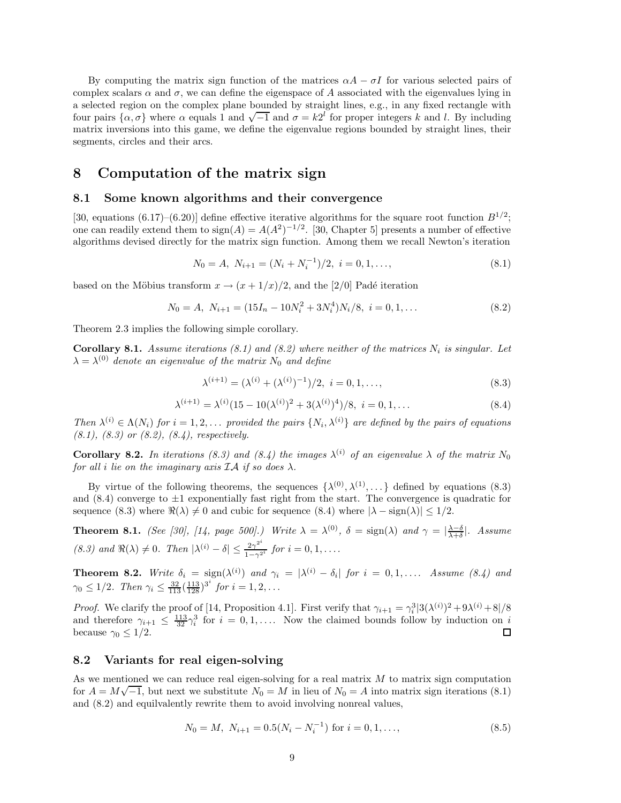By computing the matrix sign function of the matrices  $\alpha A - \sigma I$  for various selected pairs of complex scalars  $\alpha$  and  $\sigma$ , we can define the eigenspace of A associated with the eigenvalues lying in a selected region on the complex plane bounded by straight lines, e.g., in any fixed rectangle with four pairs  $\{\alpha, \sigma\}$  where  $\alpha$  equals 1 and  $\sqrt{-1}$  and  $\sigma = k2^l$  for proper integers k and l. By including matrix inversions into this game, we define the eigenvalue regions bounded by straight lines, their segments, circles and their arcs.

## **8 Computation of the matrix sign**

#### **8.1 Some known algorithms and their convergence**

[30, equations  $(6.17)-(6.20)$ ] define effective iterative algorithms for the square root function  $B^{1/2}$ : one can readily extend them to  $sign(A) = A(A^2)^{-1/2}$ . [30, Chapter 5] presents a number of effective algorithms devised directly for the matrix sign function. Among them we recall Newton's iteration

$$
N_0 = A, N_{i+1} = (N_i + N_i^{-1})/2, i = 0, 1, ...,
$$
\n(8.1)

based on the Möbius transform  $x \to (x + 1/x)/2$ , and the [2/0] Padé iteration

$$
N_0 = A, N_{i+1} = (15I_n - 10N_i^2 + 3N_i^4)N_i/8, i = 0, 1, ...
$$
\n(8.2)

Theorem 2.3 implies the following simple corollary.

**Corollary 8.1.** *Assume iterations (8.1) and (8.2) where neither of the matrices*  $N_i$  *is singular. Let*  $\lambda = \lambda^{(0)}$  *denote an eigenvalue of the matrix*  $N_0$  *and define* 

$$
\lambda^{(i+1)} = (\lambda^{(i)} + (\lambda^{(i)})^{-1})/2, \ i = 0, 1, ..., \tag{8.3}
$$

$$
\lambda^{(i+1)} = \lambda^{(i)} (15 - 10(\lambda^{(i)})^2 + 3(\lambda^{(i)})^4)/8, \ i = 0, 1, \dots
$$
\n(8.4)

*Then*  $\lambda^{(i)} \in \Lambda(N_i)$  *for*  $i = 1, 2, \ldots$  *provided the pairs*  $\{N_i, \lambda^{(i)}\}$  *are defined by the pairs of equations (8.1), (8.3) or (8.2), (8.4), respectively.*

**Corollary 8.2.** *In iterations (8.3) and (8.4) the images*  $\lambda^{(i)}$  *of an eigenvalue*  $\lambda$  *of the matrix*  $N_0$ *for all i lie on the imaginary axis*  $IA$  *if so does*  $\lambda$ *.* 

By virtue of the following theorems, the sequences  $\{\lambda^{(0)}, \lambda^{(1)}, \ldots\}$  defined by equations (8.3) and  $(8.4)$  converge to  $\pm 1$  exponentially fast right from the start. The convergence is quadratic for sequence (8.3) where  $\Re(\lambda) \neq 0$  and cubic for sequence (8.4) where  $|\lambda - \text{sign}(\lambda)| \leq 1/2$ .

**Theorem 8.1.** *(See [30], [14, page 500].) Write*  $\lambda = \lambda^{(0)}$ ,  $\delta = \text{sign}(\lambda)$  *and*  $\gamma = \left| \frac{\lambda - \delta}{\lambda + \delta} \right|$ *. Assume (8.3)* and  $\Re(\lambda) \neq 0$ . Then  $|\lambda^{(i)} - \delta| \leq \frac{2\gamma^{2^i}}{1 - \gamma^{2^i}}$  for  $i = 0, 1, \ldots$ .

**Theorem 8.2.** *Write*  $\delta_i = \text{sign}(\lambda^{(i)})$  *and*  $\gamma_i = |\lambda^{(i)} - \delta_i|$  *for*  $i = 0, 1, \ldots$  *Assume* (8.4) *and*  $\gamma_0 \leq 1/2$ *. Then*  $\gamma_i \leq \frac{32}{113} (\frac{113}{128})^{3^i}$  *for*  $i = 1, 2, ...$ 

*Proof.* We clarify the proof of [14, Proposition 4.1]. First verify that  $\gamma_{i+1} = \gamma_i^3 |3(\lambda^{(i)})^2 + 9\lambda^{(i)} + 8|/8$ and therefore  $\gamma_{i+1} \leq \frac{113}{32} \gamma_i^3$  for  $i = 0, 1, \ldots$  Now the claimed bounds follow by induction on *i* because  $\gamma_0 \leq 1/2$ . □

### **8.2 Variants for real eigen-solving**

As we mentioned we can reduce real eigen-solving for a real matrix *M* to matrix sign computation for  $A = M\sqrt{-1}$ , but next we substitute  $N_0 = M$  in lieu of  $N_0 = A$  into matrix sign iterations (8.1) and (8.2) and equilvalently rewrite them to avoid involving nonreal values,

$$
N_0 = M, N_{i+1} = 0.5(N_i - N_i^{-1}) \text{ for } i = 0, 1, ...,
$$
\n(8.5)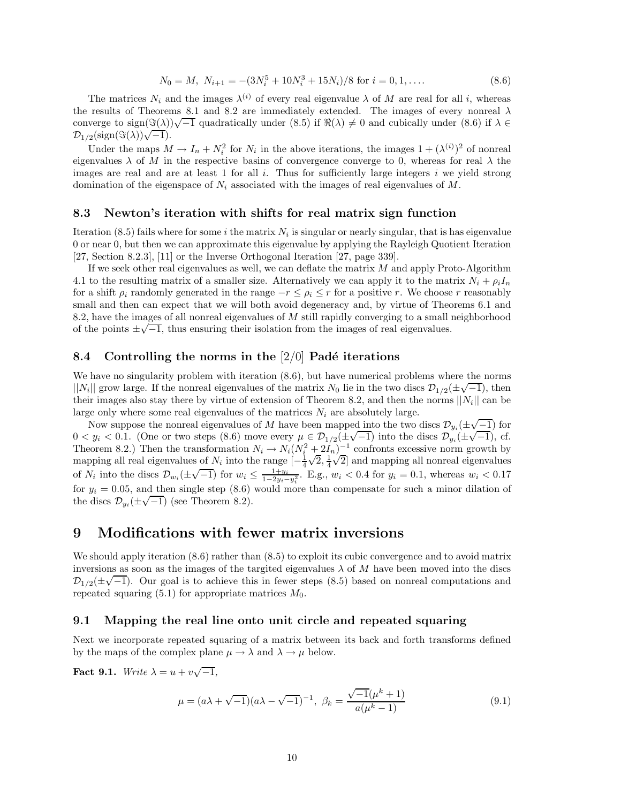$$
N_0 = M, N_{i+1} = -(3N_i^5 + 10N_i^3 + 15N_i)/8 \text{ for } i = 0, 1, ....
$$
\n(8.6)

The matrices  $N_i$  and the images  $\lambda^{(i)}$  of every real eigenvalue  $\lambda$  of M are real for all *i*, whereas the results of Theorems 8.1 and 8.2 are immediately extended. The images of every nonreal *λ* converge to sign( $\Im(\lambda)$ ) $\sqrt{-1}$  quadratically under (8.5) if  $\Re(\lambda) \neq 0$  and cubically under (8.6) if  $\lambda \in$  $\mathcal{D}_{1/2}(\text{sign}(\Im(\lambda))\sqrt{-1}).$ 

Under the maps  $M \to I_n + N_i^2$  for  $N_i$  in the above iterations, the images  $1 + (\lambda^{(i)})^2$  of nonreal eigenvalues  $\lambda$  of *M* in the respective basins of convergence converge to 0, whereas for real  $\lambda$  the images are real and are at least 1 for all *i*. Thus for sufficiently large integers *i* we yield strong domination of the eigenspace of *N<sup>i</sup>* associated with the images of real eigenvalues of *M*.

#### **8.3 Newton's iteration with shifts for real matrix sign function**

Iteration  $(8.5)$  fails where for some *i* the matrix  $N_i$  is singular or nearly singular, that is has eigenvalue 0 or near 0, but then we can approximate this eigenvalue by applying the Rayleigh Quotient Iteration [27, Section 8.2.3], [11] or the Inverse Orthogonal Iteration [27, page 339].

If we seek other real eigenvalues as well, we can deflate the matrix *M* and apply Proto-Algorithm 4.1 to the resulting matrix of a smaller size. Alternatively we can apply it to the matrix  $N_i + \rho_i I_n$ for a shift  $\rho_i$  randomly generated in the range  $-r \leq \rho_i \leq r$  for a positive *r*. We choose *r* reasonably small and then can expect that we will both avoid degeneracy and, by virtue of Theorems 6.1 and 8.2, have the images of all nonreal eigenvalues of *M* still rapidly converging to a small neighborhood  $\infty$ , have the images of an nonreal eigenvalues of *M* still rapidly converging to a small of the points  $\pm \sqrt{-1}$ , thus ensuring their isolation from the images of real eigenvalues.

### **8.4** Controlling the norms in the [2/0] Padé iterations

We have no singularity problem with iteration  $(8.6)$ , but have numerical problems where the norms  $||N_i||$  grow large. If the nonreal eigenvalues of the matrix  $N_0$  lie in the two discs  $\mathcal{D}_{1/2}(\pm\sqrt{-1})$ , then their images also stay there by virtue of extension of Theorem 8.2, and then the norms  $||N_i||$  can be large only where some real eigenvalues of the matrices  $N_i$  are absolutely large.

Now suppose the nonreal eigenvalues of *M* have been mapped into the two discs  $\mathcal{D}_{y_i}(\pm \sqrt{-1})$  for Now suppose the nonreal eigenvalues of *M* have been mapped into the two discs  $\mathcal{D}_{y_i}(\pm \sqrt{-1})$  for Now suppose the homean eigenvalues of *M* have been mapped into the two discs  $D_{y_i}(\pm \sqrt{-1})$  for  $0 < y_i < 0.1$ . (One or two steps (8.6) move every  $\mu \in \mathcal{D}_{1/2}(\pm \sqrt{-1})$  into the discs  $\mathcal{D}_{y_i}(\pm \sqrt{-1})$ , cf. Theorem 8.2.) Then the transformation  $N_i \to N_i(N_i^2 + 2I_n)^{-1}$  confronts excessive norm growth by Theorem 8.2.) Then the transformation  $N_i \to N_i (N_i + 2I_n)$  controllis excessive horm growth by mapping all real eigenvalues of  $N_i$  into the range  $[-\frac{1}{4}\sqrt{2}, \frac{1}{4}\sqrt{2}]$  and mapping all nonreal eigenvalues the plus and the discs  $\mathcal{D}_{w_i}(\pm \sqrt{-1})$  for  $w_i \leq \frac{1+y_i}{1-2y_i-y_i^2}$ . E.g.,  $w_i < 0.4$  for  $y_i = 0.1$ , whereas  $w_i < 0.17$ for  $y_i = 0.05$ , and then single step  $(8.6)$  would more than compensate for such a minor dilation of for  $y_i = 0.05$ , and then single step (8.0)<br>the discs  $\mathcal{D}_{y_i}(\pm \sqrt{-1})$  (see Theorem 8.2).

## **9 Modifications with fewer matrix inversions**

We should apply iteration  $(8.6)$  rather than  $(8.5)$  to exploit its cubic convergence and to avoid matrix inversions as soon as the images of the targited eigenvalues  $\lambda$  of  $M$  have been moved into the discs D<sub>1/2</sub>( $\pm\sqrt{-1}$ ). Our goal is to achieve this in fewer steps (8.5) based on nonreal computations and repeated squaring  $(5.1)$  for appropriate matrices  $M_0$ .

### **9.1 Mapping the real line onto unit circle and repeated squaring**

Next we incorporate repeated squaring of a matrix between its back and forth transforms defined by the maps of the complex plane  $\mu \to \lambda$  and  $\lambda \to \mu$  below.

**Fact 9.1.** *Write*  $\lambda = u + v\sqrt{-1}$ *,* 

$$
\mu = (a\lambda + \sqrt{-1})(a\lambda - \sqrt{-1})^{-1}, \ \beta_k = \frac{\sqrt{-1}(\mu^k + 1)}{a(\mu^k - 1)}
$$
(9.1)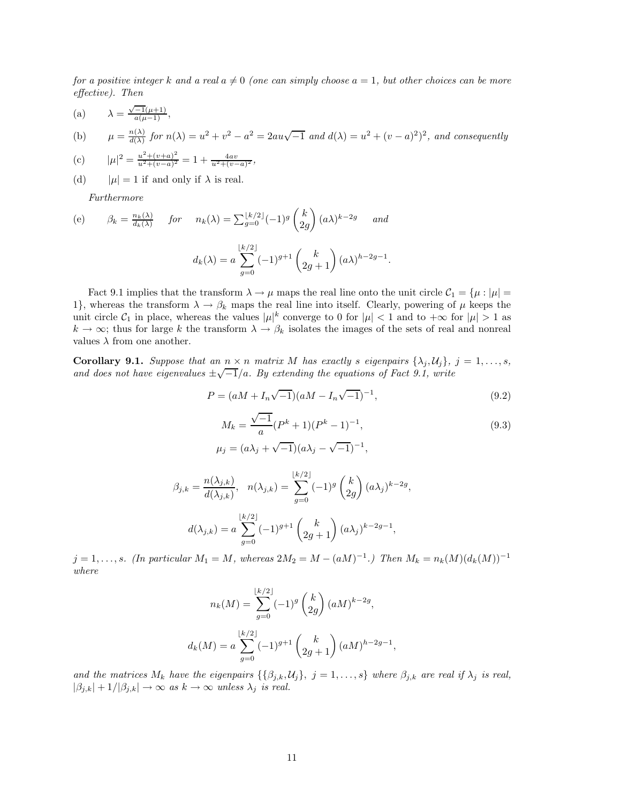*for a positive integer k* and a real  $a \neq 0$  (one can simply choose  $a = 1$ , but other choices can be more *effective). Then*

(a) 
$$
\lambda = \frac{\sqrt{-1}(\mu + 1)}{a(\mu - 1)},
$$

(b) 
$$
\mu = \frac{n(\lambda)}{d(\lambda)} \text{ for } n(\lambda) = u^2 + v^2 - a^2 = 2au\sqrt{-1} \text{ and } d(\lambda) = u^2 + (v - a)^2)^2, \text{ and consequently}
$$

(c) 
$$
|\mu|^2 = \frac{u^2 + (v+a)^2}{u^2 + (v-a)^2} = 1 + \frac{4av}{u^2 + (v-a)^2},
$$

(d)  $|\mu| = 1$  if and only if  $\lambda$  is real.

*Furthermore*

(e) 
$$
\beta_k = \frac{n_k(\lambda)}{d_k(\lambda)} \quad \text{for} \quad n_k(\lambda) = \sum_{g=0}^{\lfloor k/2 \rfloor} (-1)^g \binom{k}{2g} (a\lambda)^{k-2g} \quad \text{and}
$$

$$
d_k(\lambda) = a \sum_{g=0}^{\lfloor k/2 \rfloor} (-1)^{g+1} \binom{k}{2g+1} (a\lambda)^{h-2g-1}.
$$

Fact 9.1 implies that the transform  $\lambda \to \mu$  maps the real line onto the unit circle  $\mathcal{C}_1 = {\mu : |\mu|}$ 1}, whereas the transform  $\lambda \to \beta_k$  maps the real line into itself. Clearly, powering of  $\mu$  keeps the unit circle  $C_1$  in place, whereas the values  $|\mu|^k$  converge to 0 for  $|\mu| < 1$  and to  $+\infty$  for  $|\mu| > 1$  as  $k \to \infty$ ; thus for large *k* the transform  $\lambda \to \beta_k$  isolates the images of the sets of real and nonreal values  $\lambda$  from one another.

**Corollary 9.1.** *Suppose that an*  $n \times n$  *matrix M has exactly s eigenpairs*  $\{\lambda_j, \mathcal{U}_j\}$ *,*  $j = 1, \ldots, s$ *,* **Coronary 9.1.** Suppose that an  $n \times n$  matrix  $M$  has exactly s eigenpairs  $\{\lambda_j, \lambda_j\}$ , and does not have eigenvalues  $\pm \sqrt{-1}/a$ . By extending the equations of Fact 9.1, write

$$
P = (aM + I_n \sqrt{-1})(aM - I_n \sqrt{-1})^{-1},
$$
\n(9.2)

$$
M_k = \frac{\sqrt{-1}}{a} (P^k + 1)(P^k - 1)^{-1},
$$
  
\n
$$
\mu_j = (a\lambda_j + \sqrt{-1})(a\lambda_j - \sqrt{-1})^{-1},
$$
\n(9.3)

$$
\beta_{j,k} = \frac{n(\lambda_{j,k})}{d(\lambda_{j,k})}, \quad n(\lambda_{j,k}) = \sum_{g=0}^{\lfloor k/2 \rfloor} (-1)^g \binom{k}{2g} (a\lambda_j)^{k-2g},
$$

$$
d(\lambda_{j,k}) = a \sum_{g=0}^{\lfloor k/2 \rfloor} (-1)^{g+1} \binom{k}{2g+1} (a\lambda_j)^{k-2g-1},
$$

*j* = 1,...,s. (In particular  $M_1 = M$ , whereas  $2M_2 = M - (aM)^{-1}$ .) Then  $M_k = n_k(M)(d_k(M))^{-1}$ *where*

$$
n_k(M) = \sum_{g=0}^{\lfloor k/2 \rfloor} (-1)^g \binom{k}{2g} (aM)^{k-2g},
$$
  

$$
d_k(M) = a \sum_{g=0}^{\lfloor k/2 \rfloor} (-1)^{g+1} \binom{k}{2g+1} (aM)^{h-2g-1},
$$

*and the matrices*  $M_k$  *have the eigenpairs*  $\{\{\beta_{j,k}, \mathcal{U}_j\}, \ j = 1, \ldots, s\}$  *where*  $\beta_{j,k}$  *are real if*  $\lambda_j$  *is real,*  $|\beta_{j,k}| + 1/|\beta_{j,k}| \to \infty$  *as*  $k \to \infty$  *unless*  $\lambda_j$  *is real.*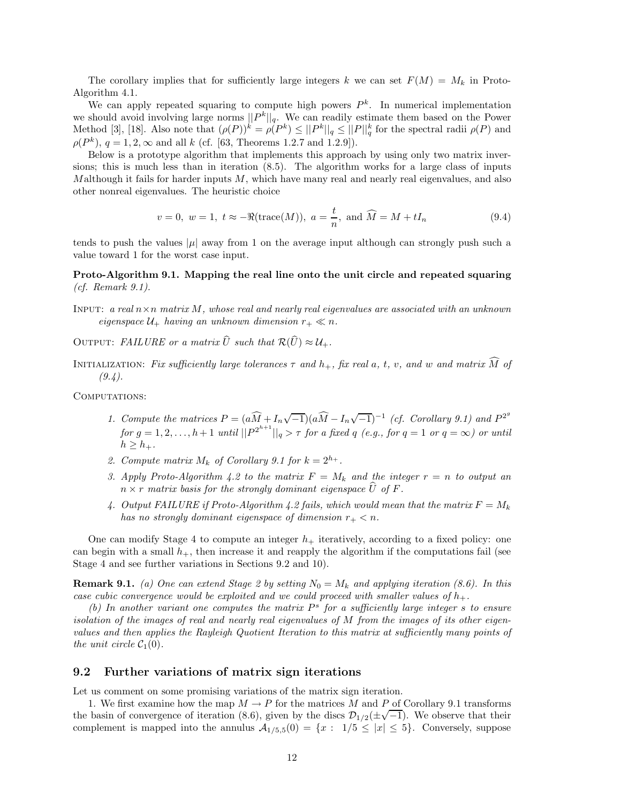The corollary implies that for sufficiently large integers *k* we can set  $F(M) = M_k$  in Proto-Algorithm 4.1.

We can apply repeated squaring to compute high powers  $P^k$ . In numerical implementation we should avoid involving large norms ||*Pk*||*q*. We can readily estimate them based on the Power Method [3], [18]. Also note that  $(\rho(P))^k = \rho(P^k) \leq ||P^k||_q \leq ||P||_q^k$  for the spectral radii  $\rho(P)$  and  $\rho(P^k)$ ,  $q = 1, 2, \infty$  and all *k* (cf. [63, Theorems 1.2.7 and 1.2.9]).

Below is a prototype algorithm that implements this approach by using only two matrix inversions; this is much less than in iteration (8.5). The algorithm works for a large class of inputs *M*although it fails for harder inputs *M*, which have many real and nearly real eigenvalues, and also other nonreal eigenvalues. The heuristic choice

$$
v = 0, w = 1, t \approx -\Re(\text{trace}(M)), a = \frac{t}{n}, \text{ and } \widehat{M} = M + tI_n
$$
 (9.4)

tends to push the values  $|\mu|$  away from 1 on the average input although can strongly push such a value toward 1 for the worst case input.

### **Proto-Algorithm 9.1. Mapping the real line onto the unit circle and repeated squaring** *(cf. Remark 9.1).*

- Input: *a real n*×*n matrix M, whose real and nearly real eigenvalues are associated with an unknown eigenspace*  $U_+$  *having an unknown dimension*  $r_+ \ll n$ *.*
- OUTPUT: *FAILURE* or a matrix  $\widehat{U}$  such that  $\mathcal{R}(\widehat{U}) \approx \mathcal{U}_{+}$ .
- **INITIALIZATION:** Fix sufficiently large tolerances  $τ$  and  $h_+$ , fix real  $a, t, v$ , and  $w$  and matrix  $M$  of *(9.4).*

COMPUTATIONS:

- *1. Compute the matrices*  $P = (a\widehat{M} + I_n\sqrt{-1})(a\widehat{M} I_n\sqrt{-1})^{-1}$  (*cf. Corollary 9.1)* and  $P^{2g}$  $for \, g = 1, 2, \ldots, h+1 \, until \, ||P^{2^{h+1}}||_q > \tau \, for \, a \, fixed \, q \, (e.g., \, for \, q = 1 \, or \, q = \infty) \, or \, until \,$  $h \geq h_+$ .
- 2. Compute matrix  $M_k$  of Corollary 9.1 for  $k = 2^{h_+}$ .
- *3. Apply Proto-Algorithm 4.2 to the matrix*  $F = M_k$  *and the integer*  $r = n$  *to output an*  $n \times r$  *matrix basis for the strongly dominant eigenspace*  $\widehat{U}$  *of*  $F$ *.*
- 4. Output FAILURE if Proto-Algorithm 4.2 fails, which would mean that the matrix  $F = M_k$ *has no strongly dominant eigenspace of dimension*  $r_{+} < n$ .

One can modify Stage 4 to compute an integer  $h_{+}$  iteratively, according to a fixed policy: one can begin with a small  $h_{+}$ , then increase it and reapply the algorithm if the computations fail (see Stage 4 and see further variations in Sections 9.2 and 10).

**Remark 9.1.** (a) One can extend Stage 2 by setting  $N_0 = M_k$  and applying iteration (8.6). In this *case cubic convergence would be exploited and we could proceed with smaller values of*  $h_{+}$ .

*(b) In another variant one computes the matrix P<sup>s</sup> for a sufficiently large integer s to ensure isolation of the images of real and nearly real eigenvalues of M from the images of its other eigenvalues and then applies the Rayleigh Quotient Iteration to this matrix at sufficiently many points of the unit circle*  $C_1(0)$ *.* 

### **9.2 Further variations of matrix sign iterations**

Let us comment on some promising variations of the matrix sign iteration.

1. We first examine how the map  $M \to P$  for the matrices M and P of Corollary 9.1 transforms the basin of convergence of iteration (8.6), given by the discs  $\mathcal{D}_{1/2}(\pm\sqrt{-1})$ . We observe that their complement is mapped into the annulus  $A_{1/5,5}(0) = \{x : 1/5 \leq |x| \leq 5\}$ . Conversely, suppose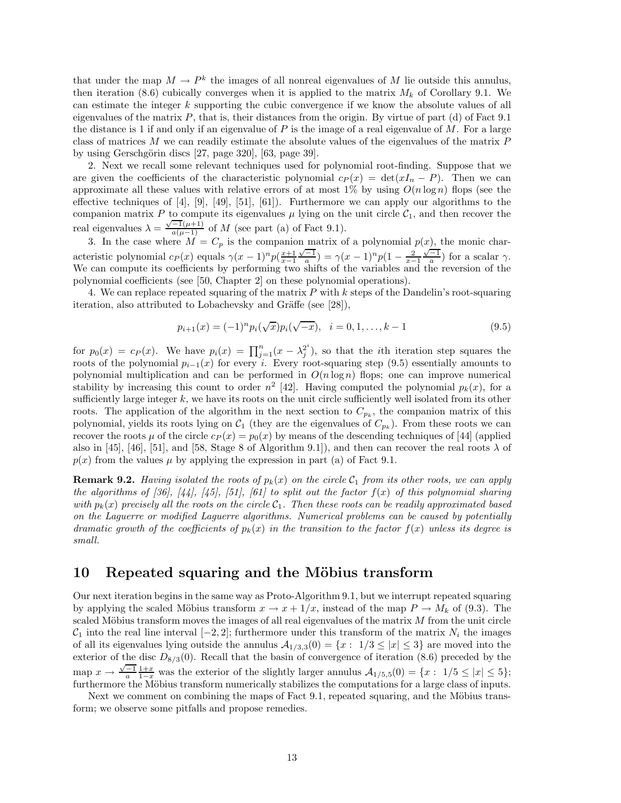that under the map  $M \to P^k$  the images of all nonreal eigenvalues of M lie outside this annulus, then iteration (8.6) cubically converges when it is applied to the matrix  $M_k$  of Corollary 9.1. We can estimate the integer *k* supporting the cubic convergence if we know the absolute values of all eigenvalues of the matrix *P*, that is, their distances from the origin. By virtue of part (d) of Fact 9.1 the distance is 1 if and only if an eigenvalue of *P* is the image of a real eigenvalue of *M*. For a large class of matrices *M* we can readily estimate the absolute values of the eigenvalues of the matrix *P* by using Gerschgörin discs  $[27, \text{page } 320]$ ,  $[63, \text{page } 39]$ .

2. Next we recall some relevant techniques used for polynomial root-finding. Suppose that we are given the coefficients of the characteristic polynomial  $c_P(x) = \det(xI_n - P)$ . Then we can approximate all these values with relative errors of at most  $1\%$  by using  $O(n \log n)$  flops (see the effective techniques of  $[4]$ ,  $[9]$ ,  $[49]$ ,  $[51]$ ,  $[61]$ ). Furthermore we can apply our algorithms to the companion matrix *P* to compute its eigenvalues  $\mu$  lying on the unit circle  $C_1$ , and then recover the real eigenvalues  $\lambda = \frac{\sqrt{-1}(\mu+1)}{a(\mu-1)}$  of *M* (see part (a) of Fact 9.1).

3. In the case where  $M = C_p$  is the companion matrix of a polynomial  $p(x)$ , the monic characteristic polynomial  $c_P(x)$  equals  $\gamma(x-1)^n p(\frac{x+1}{x-1} \frac{\sqrt{-1}}{a}) = \gamma(x-1)^n p(1-\frac{2}{x-1} \frac{\sqrt{-1}}{a})$  for a scalar  $\gamma$ . We can compute its coefficients by performing two shifts of the variables and the reversion of the polynomial coefficients (see [50, Chapter 2] on these polynomial operations).

4. We can replace repeated squaring of the matrix *P* with *k* steps of the Dandelin's root-squaring iteration, also attributed to Lobachevsky and Gräffe (see [28]),

$$
p_{i+1}(x) = (-1)^n p_i(\sqrt{x}) p_i(\sqrt{-x}), \quad i = 0, 1, \dots, k-1
$$
\n(9.5)

for  $p_0(x) = c_P(x)$ . We have  $p_i(x) = \prod_{j=1}^n (x - \lambda_j^{2^i})$ , so that the *i*th iteration step squares the roots of the polynomial  $p_{i-1}(x)$  for every *i*. Every root-squaring step (9.5) essentially amounts to polynomial multiplication and can be performed in  $O(n \log n)$  flops; one can improve numerical stability by increasing this count to order  $n^2$  [42]. Having computed the polynomial  $p_k(x)$ , for a sufficiently large integer *k*, we have its roots on the unit circle sufficiently well isolated from its other roots. The application of the algorithm in the next section to  $C_{p_k}$ , the companion matrix of this polynomial, yields its roots lying on  $C_1$  (they are the eigenvalues of  $C_{p_k}$ ). From these roots we can recover the roots  $\mu$  of the circle  $c_P(x) = p_0(x)$  by means of the descending techniques of [44] (applied also in [45], [46], [51], and [58, Stage 8 of Algorithm 9.1]), and then can recover the real roots  $\lambda$  of  $p(x)$  from the values  $\mu$  by applying the expression in part (a) of Fact 9.1.

**Remark 9.2.** *Having isolated the roots of*  $p_k(x)$  *on the circle*  $\mathcal{C}_1$  *from its other roots, we can apply the algorithms of [36], [44], [45], [51], [61] to split out the factor f*(*x*) *of this polynomial sharing with*  $p_k(x)$  precisely all the roots on the circle  $C_1$ . Then these roots can be readily approximated based *on the Laguerre or modified Laguerre algorithms. Numerical problems can be caused by potentially dramatic growth of the coefficients of*  $p_k(x)$  *in the transition to the factor*  $f(x)$  *unless its degree is small.*

## **10** Repeated squaring and the Möbius transform

Our next iteration begins in the same way as Proto-Algorithm 9.1, but we interrupt repeated squaring by applying the scaled Möbius transform  $x \to x + 1/x$ , instead of the map  $P \to M_k$  of (9.3). The scaled Möbius transform moves the images of all real eigenvalues of the matrix *M* from the unit circle  $\mathcal{C}_1$  into the real line interval  $[-2, 2]$ ; furthermore under this transform of the matrix  $N_i$  the images of all its eigenvalues lying outside the annulus  $A_{1/3,3}(0) = \{x : 1/3 \leq |x| \leq 3\}$  are moved into the exterior of the disc  $D_{8/3}(0)$ . Recall that the basin of convergence of iteration (8.6) preceded by the map  $x \to \frac{\sqrt{-1}}{a} \frac{1+x}{1-x}$  was the exterior of the slightly larger annulus  $\mathcal{A}_{1/5,5}(0) = \{x : 1/5 \le |x| \le 5\};$ furthermore the Möbius transform numerically stabilizes the computations for a large class of inputs.

Next we comment on combining the maps of Fact 9.1, repeated squaring, and the Möbius transform; we observe some pitfalls and propose remedies.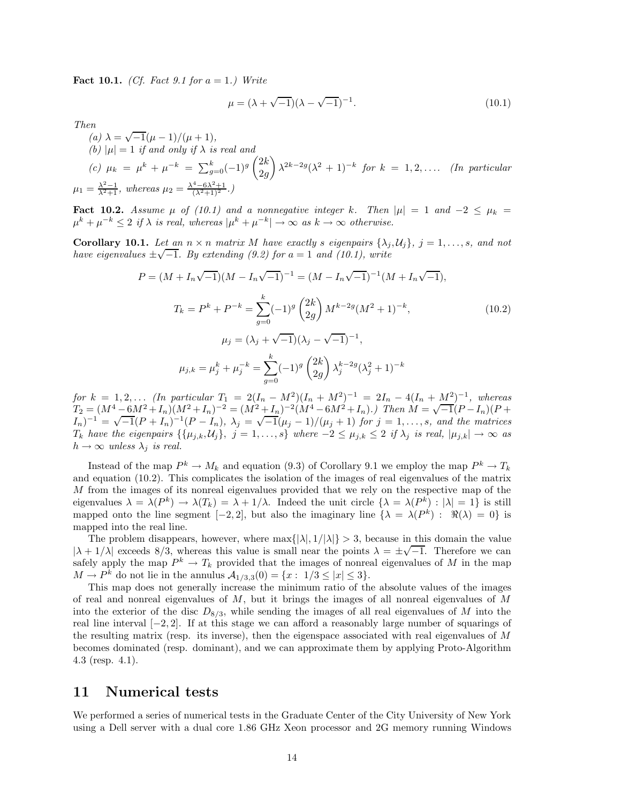**Fact 10.1.** *(Cf. Fact 9.1 for a* = 1*.) Write*

$$
\mu = (\lambda + \sqrt{-1})(\lambda - \sqrt{-1})^{-1}.
$$
\n(10.1)

*Then*

Then  
\n(a) 
$$
\lambda = \sqrt{-1}(\mu - 1)/(\mu + 1)
$$
,  
\n(b)  $|\mu| = 1$  if and only if  $\lambda$  is real and  
\n(c)  $\mu_k = \mu^k + \mu^{-k} = \sum_{g=0}^k (-1)^g {2k \choose 2g} \lambda^{2k-2g} (\lambda^2 + 1)^{-k}$  for  $k = 1, 2, ...$  (In particular  
\n $\mu_1 = \frac{\lambda^2 - 1}{\lambda^2 + 1}$ , whereas  $\mu_2 = \frac{\lambda^4 - 6\lambda^2 + 1}{(\lambda^2 + 1)^2}$ .)

**Fact 10.2.** *Assume*  $\mu$  *of (10.1)* and a nonnegative integer *k.* Then  $|\mu| = 1$  and  $-2 \le \mu_k =$  $\mu^k + \mu^{-k} \leq 2$  *if*  $\lambda$  *is real, whereas*  $|\mu^k + \mu^{-k}| \to \infty$  *as*  $k \to \infty$  *otherwise.* 

**Corollary 10.1.** Let an  $n \times n$  matrix M have exactly s eigenpairs  $\{\lambda_j, \mathcal{U}_j\}$ ,  $j = 1, \ldots, s$ , and not **COPOILATY 10.1.** Let  $\lim_{n \to \infty} n \times n$  matrix  $M$  have exactly s eigenpairs  $\{\lambda_j\}$  have eigenvalues  $\pm \sqrt{-1}$ . By extending (9.2) for  $a = 1$  and (10.1), write

$$
P = (M + I_n \sqrt{-1})(M - I_n \sqrt{-1})^{-1} = (M - I_n \sqrt{-1})^{-1}(M + I_n \sqrt{-1}),
$$
  
\n
$$
T_k = P^k + P^{-k} = \sum_{g=0}^k (-1)^g \binom{2k}{2g} M^{k-2g} (M^2 + 1)^{-k},
$$
  
\n
$$
\mu_j = (\lambda_j + \sqrt{-1})(\lambda_j - \sqrt{-1})^{-1},
$$
  
\n
$$
\mu_{j,k} = \mu_j^k + \mu_j^{-k} = \sum_{g=0}^k (-1)^g \binom{2k}{2g} \lambda_j^{k-2g} (\lambda_j^2 + 1)^{-k}
$$
 (10.2)

for  $k = 1, 2, ...$  (In particular  $T_1 = 2(I_n - M^2)(I_n + M^2)^{-1} = 2I_n - 4(I_n + M^2)^{-1}$ , whereas  $T_2 = (M^4 - 6M^2 + I_n)(M^2 + I_n)^{-2} = (M^2 + I_n)^{-2}(M^4 - 6M^2 + I_n)$ .) Then  $M = \sqrt{-1}(P - I_n)(P + I_n)$  $I_n^{-1} = \sqrt{-1}(P + I_n)^{-1}(P - I_n), \lambda_j = \sqrt{-1}(\mu_j - 1)/(\mu_j + 1)$  for  $j = 1, ..., s$ , and the matrices  $T_k$  have the eigenpairs  $\{\{\mu_{j,k},\mathcal{U}_j\},\ j=1,\ldots,s\}$  where  $-2\leq\mu_{j,k}\leq 2$  if  $\lambda_j$  is real,  $|\mu_{j,k}|\to\infty$  as  $h \rightarrow \infty$  *unless*  $\lambda_j$  *is real.* 

Instead of the map  $P^k \to M_k$  and equation (9.3) of Corollary 9.1 we employ the map  $P^k \to T_k$ and equation (10.2). This complicates the isolation of the images of real eigenvalues of the matrix *M* from the images of its nonreal eigenvalues provided that we rely on the respective map of the eigenvalues  $\lambda = \lambda(P^k) \rightarrow \lambda(T_k) = \lambda + 1/\lambda$ . Indeed the unit circle  $\{\lambda = \lambda(P^k) : |\lambda| = 1\}$  is still mapped onto the line segment  $[-2, 2]$ , but also the imaginary line  $\{\lambda = \lambda(P^k) : \Re(\lambda) = 0\}$  is mapped into the real line.

The problem disappears, however, where  $\max\{|\lambda|, 1/|\lambda|\} > 3$ , because in this domain the value |*λ* + 1/ $\lambda$ | exceeds 8/3, whereas this value is small near the points  $\lambda = \pm \sqrt{-1}$ . Therefore we can safely apply the map  $P^k \to T_k$  provided that the images of nonreal eigenvalues of *M* in the map *M* → *P*<sup>*k*</sup> do not lie in the annulus  $A_{1/3,3}(0) = \{x : 1/3 \le |x| \le 3\}.$ 

This map does not generally increase the minimum ratio of the absolute values of the images of real and nonreal eigenvalues of *M*, but it brings the images of all nonreal eigenvalues of *M* into the exterior of the disc  $D_{8/3}$ , while sending the images of all real eigenvalues of *M* into the real line interval [−2*,* 2]. If at this stage we can afford a reasonably large number of squarings of the resulting matrix (resp. its inverse), then the eigenspace associated with real eigenvalues of *M* becomes dominated (resp. dominant), and we can approximate them by applying Proto-Algorithm 4.3 (resp. 4.1).

## **11 Numerical tests**

We performed a series of numerical tests in the Graduate Center of the City University of New York using a Dell server with a dual core 1.86 GHz Xeon processor and 2G memory running Windows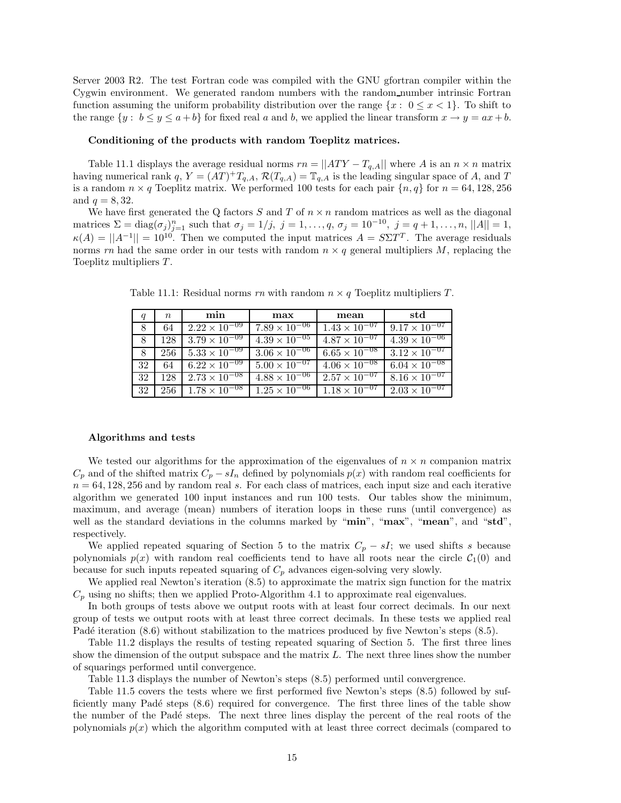Server 2003 R2. The test Fortran code was compiled with the GNU gfortran compiler within the Cygwin environment. We generated random numbers with the random number intrinsic Fortran function assuming the uniform probability distribution over the range  $\{x: 0 \leq x < 1\}$ . To shift to the range  $\{y : b \leq y \leq a + b\}$  for fixed real *a* and *b*, we applied the linear transform  $x \to y = ax + b$ .

#### **Conditioning of the products with random Toeplitz matrices.**

Table 11.1 displays the average residual norms  $rn = ||ATY - T_{q,A}||$  where A is an  $n \times n$  matrix having numerical rank *q*,  $Y = (AT)^+T_{q,A}$ ,  $\mathcal{R}(T_{q,A}) = T_{q,A}$  is the leading singular space of *A*, and *T* is a random  $n \times q$  Toeplitz matrix. We performed 100 tests for each pair  $\{n, q\}$  for  $n = 64, 128, 256$ and  $q = 8, 32$ .

We have first generated the Q factors  $S$  and  $T$  of  $n \times n$  random matrices as well as the diagonal matrices  $\Sigma = \text{diag}(\sigma_j)_{j=1}^n$  such that  $\sigma_j = 1/j$ ,  $j = 1, \ldots, q$ ,  $\sigma_j = 10^{-10}$ ,  $j = q + 1, \ldots, n$ ,  $||A|| = 1$ ,  $\kappa(A) = ||A^{-1}|| = 10^{10}$ . Then we computed the input matrices  $A = S \Sigma T^T$ . The average residuals norms  $rn$  had the same order in our tests with random  $n \times q$  general multipliers  $M$ , replacing the Toeplitz multipliers *T*.

|              | $\, n$ | min                               | max                               | mean                   | std                    |
|--------------|--------|-----------------------------------|-----------------------------------|------------------------|------------------------|
| 8            | 64     | $2.22 \times 10^{-09}$            | $7.89 \times 10^{-06}$            | $1.43 \times 10^{-07}$ | $9.17 \times 10^{-07}$ |
| 8            | 128    | $3.79 \times 10^{-09}$            | $4.39 \times 10^{-05}$            | $4.87 \times 10^{-07}$ | $4.39 \times 10^{-06}$ |
| 8            | 256    | $5.\overline{33 \times 10^{-09}}$ | $3.06 \times 10^{-06}$            | $6.65 \times 10^{-08}$ | $3.12 \times 10^{-07}$ |
| 32           | 64     | $6.22 \times 10^{-09}$            | $5.00 \times \overline{10^{-07}}$ | $4.06 \times 10^{-08}$ | $6.04 \times 10^{-08}$ |
| 32           | 128    | $2.73 \times 10^{-08}$            | $4.88 \times 10^{-06}$            | $2.57 \times 10^{-07}$ | $8.16 \times 10^{-07}$ |
| $32^{\circ}$ |        | 256   $1.78 \times 10^{-08}$      | $1.25 \times 10^{-06}$            | $1.18 \times 10^{-07}$ | $2.03 \times 10^{-07}$ |

Table 11.1: Residual norms *rn* with random *n* × *q* Toeplitz multipliers *T*.

#### **Algorithms and tests**

We tested our algorithms for the approximation of the eigenvalues of  $n \times n$  companion matrix  $C_p$  and of the shifted matrix  $C_p - sI_n$  defined by polynomials  $p(x)$  with random real coefficients for *n* = 64*,* 128*,* 256 and by random real *s*. For each class of matrices, each input size and each iterative algorithm we generated 100 input instances and run 100 tests. Our tables show the minimum, maximum, and average (mean) numbers of iteration loops in these runs (until convergence) as well as the standard deviations in the columns marked by "**min**", "**max**", "**mean**", and "**std**", respectively.

We applied repeated squaring of Section 5 to the matrix  $C_p - sI$ ; we used shifts *s* because polynomials  $p(x)$  with random real coefficients tend to have all roots near the circle  $C_1(0)$  and because for such inputs repeated squaring of  $C_p$  advances eigen-solving very slowly.

We applied real Newton's iteration (8.5) to approximate the matrix sign function for the matrix  $C_p$  using no shifts; then we applied Proto-Algorithm 4.1 to approximate real eigenvalues.

In both groups of tests above we output roots with at least four correct decimals. In our next group of tests we output roots with at least three correct decimals. In these tests we applied real Padé iteration (8.6) without stabilization to the matrices produced by five Newton's steps (8.5).

Table 11.2 displays the results of testing repeated squaring of Section 5. The first three lines show the dimension of the output subspace and the matrix *L*. The next three lines show the number of squarings performed until convergence.

Table 11.3 displays the number of Newton's steps (8.5) performed until convergrence.

Table 11.5 covers the tests where we first performed five Newton's steps (8.5) followed by sufficiently many Padé steps  $(8.6)$  required for convergence. The first three lines of the table show the number of the Padé steps. The next three lines display the percent of the real roots of the polynomials  $p(x)$  which the algorithm computed with at least three correct decimals (compared to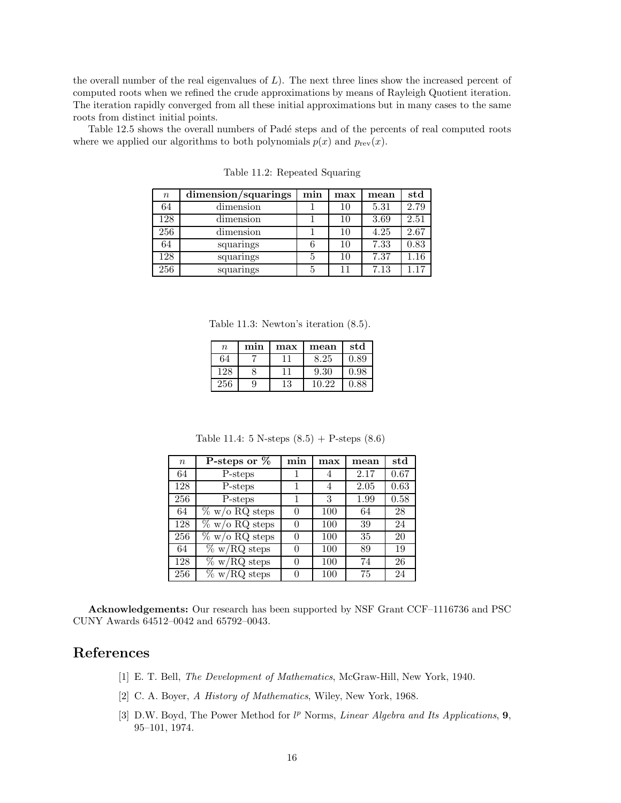the overall number of the real eigenvalues of *L*). The next three lines show the increased percent of computed roots when we refined the crude approximations by means of Rayleigh Quotient iteration. The iteration rapidly converged from all these initial approximations but in many cases to the same roots from distinct initial points.

Table 12.5 shows the overall numbers of Padé steps and of the percents of real computed roots where we applied our algorithms to both polynomials  $p(x)$  and  $p_{rev}(x)$ .

| $\it n$ | dimension/squarings | min | max | mean | std  |
|---------|---------------------|-----|-----|------|------|
| 64      | dimension           |     | 10  | 5.31 | 2.79 |
| 128     | dimension           |     | 10  | 3.69 | 2.51 |
| 256     | dimension           |     | 10  | 4.25 | 2.67 |
| 64      | squarings           |     | 10  | 7.33 | 0.83 |
| 128     | squarings           |     | 10  | 7.37 | 1.16 |
| 256     | squarings           |     | 11  | 7.13 |      |

Table 11.2: Repeated Squaring

Table 11.3: Newton's iteration (8.5).

| $\, n$ | min | max | mean  | std  |
|--------|-----|-----|-------|------|
| 64     |     |     | 8.25  | 0.89 |
| 128    |     |     | 9.30  | 0.98 |
| 256    | 9   | 13  | 10.22 | 0.88 |

Table 11.4: 5 N-steps  $(8.5) +$  P-steps  $(8.6)$ 

| $\, n$     | P-steps or $%$    | mın | max | mean | std  |
|------------|-------------------|-----|-----|------|------|
| 64         | P-steps           |     |     | 2.17 | 0.67 |
| 128        | P-steps           |     | 4   | 2.05 | 0.63 |
| 256        | P-steps           |     | 3   | 1.99 | 0.58 |
| 64         | $\%$ w/o RQ steps |     | 100 | 64   | 28   |
| 128        | $\%$ w/o RQ steps |     | 100 | 39   | 24   |
| 256        | $\%$ w/o RQ steps |     | 100 | 35   | 20   |
| 64         | $\%$ w/RQ steps   |     | 100 | 89   | 19   |
| <b>128</b> | $\%$ w/RQ steps   |     | 100 | 74   | 26   |
| 256        | $\%$ w/RQ steps   |     | 100 | 75   | 24   |

**Acknowledgements:** Our research has been supported by NSF Grant CCF–1116736 and PSC CUNY Awards 64512–0042 and 65792–0043.

## **References**

- [1] E. T. Bell, *The Development of Mathematics*, McGraw-Hill, New York, 1940.
- [2] C. A. Boyer, *A History of Mathematics*, Wiley, New York, 1968.
- [3] D.W. Boyd, The Power Method for *l <sup>p</sup>* Norms, *Linear Algebra and Its Applications*, **9**, 95–101, 1974.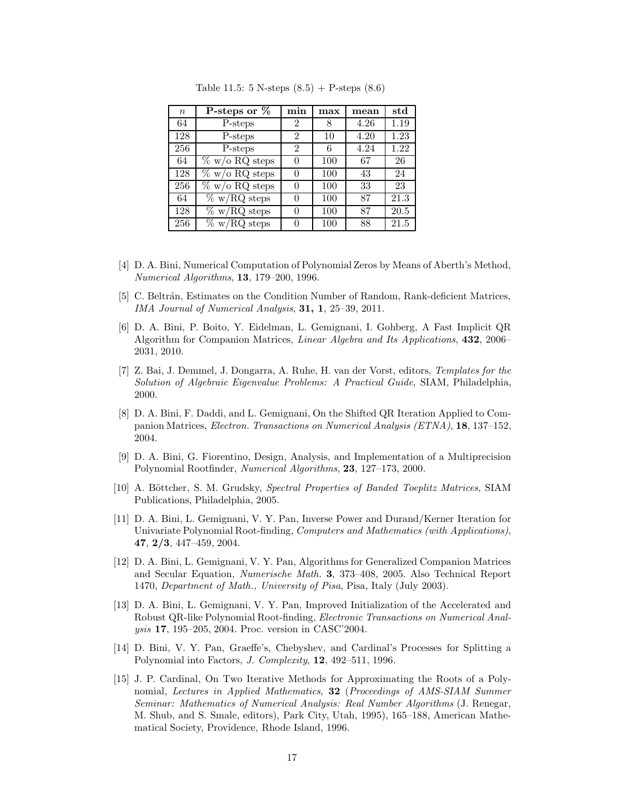| $\boldsymbol{n}$ | P-steps or $%$    | min          | max | mean | $_{\rm std}$ |
|------------------|-------------------|--------------|-----|------|--------------|
| 64               | P-steps           | 2            | 8   | 4.26 | 1.19         |
| 128              | P-steps           | 2            | 10  | 4.20 | 1.23         |
| 256              | P-steps           | 2            | 6   | 4.24 | 1.22         |
| 64               | $\%$ w/o RQ steps |              | 100 | 67   | 26           |
| 128              | $\%$ w/o RQ steps |              | 100 | 43   | 24           |
| 256              | $\%$ w/o RQ steps |              | 100 | 33   | 23           |
| 64               | $\%$ w/RQ steps   | $\mathbf{0}$ | 100 | 87   | 21.3         |
| 128              | $\%$ w/RQ steps   |              | 100 | 87   | 20.5         |
| 256              | $\%$ w/RQ steps   |              | 100 | 88   | 21.5         |

Table 11.5: 5 N-steps  $(8.5) +$  P-steps  $(8.6)$ 

- [4] D. A. Bini, Numerical Computation of Polynomial Zeros by Means of Aberth's Method, *Numerical Algorithms*, **13**, 179–200, 1996.
- [5] C. Beltrán, Estimates on the Condition Number of Random, Rank-deficient Matrices, *IMA Journal of Numerical Analysis*, **31, 1**, 25–39, 2011.
- [6] D. A. Bini, P. Boito, Y. Eidelman, L. Gemignani, I. Gohberg, A Fast Implicit QR Algorithm for Companion Matrices, *Linear Algebra and Its Applications*, **432**, 2006– 2031, 2010.
- [7] Z. Bai, J. Demmel, J. Dongarra, A. Ruhe, H. van der Vorst, editors, *Templates for the Solution of Algebraic Eigenvalue Problems: A Practical Guide*, SIAM, Philadelphia, 2000.
- [8] D. A. Bini, F. Daddi, and L. Gemignani, On the Shifted QR Iteration Applied to Companion Matrices, *Electron. Transactions on Numerical Analysis (ETNA)*, **18**, 137–152, 2004.
- [9] D. A. Bini, G. Fiorentino, Design, Analysis, and Implementation of a Multiprecision Polynomial Rootfinder, *Numerical Algorithms*, **23**, 127–173, 2000.
- [10] A. Böttcher, S. M. Grudsky, *Spectral Properties of Banded Toeplitz Matrices*, SIAM Publications, Philadelphia, 2005.
- [11] D. A. Bini, L. Gemignani, V. Y. Pan, Inverse Power and Durand/Kerner Iteration for Univariate Polynomial Root-finding, *Computers and Mathematics (with Applications)*, **47**, **2/3**, 447–459, 2004.
- [12] D. A. Bini, L. Gemignani, V. Y. Pan, Algorithms for Generalized Companion Matrices and Secular Equation, *Numerische Math.* **3**, 373–408, 2005. Also Technical Report 1470, *Department of Math., University of Pisa*, Pisa, Italy (July 2003).
- [13] D. A. Bini, L. Gemignani, V. Y. Pan, Improved Initialization of the Accelerated and Robust QR-like Polynomial Root-finding, *Electronic Transactions on Numerical Analysis* **17**, 195–205, 2004. Proc. version in CASC'2004.
- [14] D. Bini, V. Y. Pan, Graeffe's, Chebyshev, and Cardinal's Processes for Splitting a Polynomial into Factors, *J. Complexity*, **12**, 492–511, 1996.
- [15] J. P. Cardinal, On Two Iterative Methods for Approximating the Roots of a Polynomial, *Lectures in Applied Mathematics*, **32** (*Proceedings of AMS-SIAM Summer Seminar: Mathematics of Numerical Analysis: Real Number Algorithms* (J. Renegar, M. Shub, and S. Smale, editors), Park City, Utah, 1995), 165–188, American Mathematical Society, Providence, Rhode Island, 1996.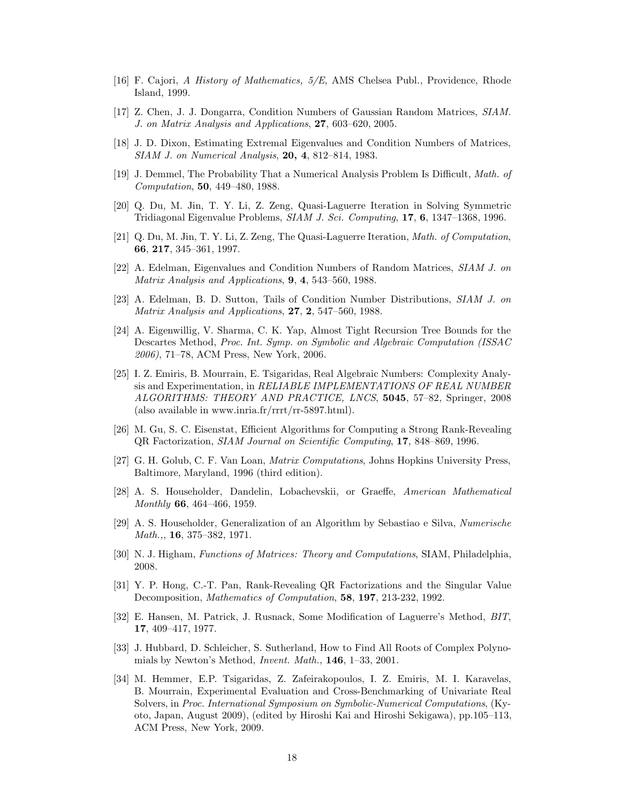- [16] F. Cajori, *A History of Mathematics, 5/E*, AMS Chelsea Publ., Providence, Rhode Island, 1999.
- [17] Z. Chen, J. J. Dongarra, Condition Numbers of Gaussian Random Matrices, *SIAM. J. on Matrix Analysis and Applications*, **27**, 603–620, 2005.
- [18] J. D. Dixon, Estimating Extremal Eigenvalues and Condition Numbers of Matrices, *SIAM J. on Numerical Analysis*, **20, 4**, 812–814, 1983.
- [19] J. Demmel, The Probability That a Numerical Analysis Problem Is Difficult, *Math. of Computation*, **50**, 449–480, 1988.
- [20] Q. Du, M. Jin, T. Y. Li, Z. Zeng, Quasi-Laguerre Iteration in Solving Symmetric Tridiagonal Eigenvalue Problems, *SIAM J. Sci. Computing*, **17**, **6**, 1347–1368, 1996.
- [21] Q. Du, M. Jin, T. Y. Li, Z. Zeng, The Quasi-Laguerre Iteration, *Math. of Computation*, **66**, **217**, 345–361, 1997.
- [22] A. Edelman, Eigenvalues and Condition Numbers of Random Matrices, *SIAM J. on Matrix Analysis and Applications*, **9**, **4**, 543–560, 1988.
- [23] A. Edelman, B. D. Sutton, Tails of Condition Number Distributions, *SIAM J. on Matrix Analysis and Applications*, **27**, **2**, 547–560, 1988.
- [24] A. Eigenwillig, V. Sharma, C. K. Yap, Almost Tight Recursion Tree Bounds for the Descartes Method, *Proc. Int. Symp. on Symbolic and Algebraic Computation (ISSAC 2006)*, 71–78, ACM Press, New York, 2006.
- [25] I. Z. Emiris, B. Mourrain, E. Tsigaridas, Real Algebraic Numbers: Complexity Analysis and Experimentation, in *RELIABLE IMPLEMENTATIONS OF REAL NUMBER ALGORITHMS: THEORY AND PRACTICE, LNCS*, **5045**, 57–82, Springer, 2008 (also available in www.inria.fr/rrrt/rr-5897.html).
- [26] M. Gu, S. C. Eisenstat, Efficient Algorithms for Computing a Strong Rank-Revealing QR Factorization, *SIAM Journal on Scientific Computing*, **17**, 848–869, 1996.
- [27] G. H. Golub, C. F. Van Loan, *Matrix Computations*, Johns Hopkins University Press, Baltimore, Maryland, 1996 (third edition).
- [28] A. S. Householder, Dandelin, Lobachevskii, or Graeffe, *American Mathematical Monthly* **66**, 464–466, 1959.
- [29] A. S. Householder, Generalization of an Algorithm by Sebastiao e Silva, *Numerische Math.,*, **16**, 375–382, 1971.
- [30] N. J. Higham, *Functions of Matrices: Theory and Computations*, SIAM, Philadelphia, 2008.
- [31] Y. P. Hong, C.-T. Pan, Rank-Revealing QR Factorizations and the Singular Value Decomposition, *Mathematics of Computation*, **58**, **197**, 213-232, 1992.
- [32] E. Hansen, M. Patrick, J. Rusnack, Some Modification of Laguerre's Method, *BIT*, **17**, 409–417, 1977.
- [33] J. Hubbard, D. Schleicher, S. Sutherland, How to Find All Roots of Complex Polynomials by Newton's Method, *Invent. Math.*, **146**, 1–33, 2001.
- [34] M. Hemmer, E.P. Tsigaridas, Z. Zafeirakopoulos, I. Z. Emiris, M. I. Karavelas, B. Mourrain, Experimental Evaluation and Cross-Benchmarking of Univariate Real Solvers, in *Proc. International Symposium on Symbolic-Numerical Computations*, (Kyoto, Japan, August 2009), (edited by Hiroshi Kai and Hiroshi Sekigawa), pp.105–113, ACM Press, New York, 2009.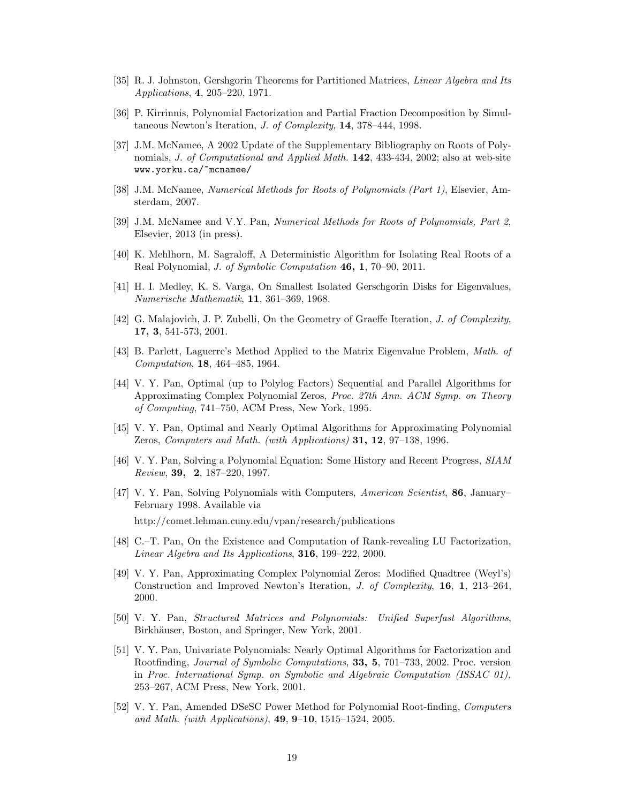- [35] R. J. Johnston, Gershgorin Theorems for Partitioned Matrices, *Linear Algebra and Its Applications*, **4**, 205–220, 1971.
- [36] P. Kirrinnis, Polynomial Factorization and Partial Fraction Decomposition by Simultaneous Newton's Iteration, *J. of Complexity*, **14**, 378–444, 1998.
- [37] J.M. McNamee, A 2002 Update of the Supplementary Bibliography on Roots of Polynomials, *J. of Computational and Applied Math.* **142**, 433-434, 2002; also at web-site www.yorku.ca/~mcnamee/
- [38] J.M. McNamee, *Numerical Methods for Roots of Polynomials (Part 1)*, Elsevier, Amsterdam, 2007.
- [39] J.M. McNamee and V.Y. Pan, *Numerical Methods for Roots of Polynomials, Part 2*, Elsevier, 2013 (in press).
- [40] K. Mehlhorn, M. Sagraloff, A Deterministic Algorithm for Isolating Real Roots of a Real Polynomial, *J. of Symbolic Computation* **46, 1**, 70–90, 2011.
- [41] H. I. Medley, K. S. Varga, On Smallest Isolated Gerschgorin Disks for Eigenvalues, *Numerische Mathematik*, **11**, 361–369, 1968.
- [42] G. Malajovich, J. P. Zubelli, On the Geometry of Graeffe Iteration, *J. of Complexity*, **17, 3**, 541-573, 2001.
- [43] B. Parlett, Laguerre's Method Applied to the Matrix Eigenvalue Problem, *Math. of Computation*, **18**, 464–485, 1964.
- [44] V. Y. Pan, Optimal (up to Polylog Factors) Sequential and Parallel Algorithms for Approximating Complex Polynomial Zeros, *Proc. 27th Ann. ACM Symp. on Theory of Computing*, 741–750, ACM Press, New York, 1995.
- [45] V. Y. Pan, Optimal and Nearly Optimal Algorithms for Approximating Polynomial Zeros, *Computers and Math. (with Applications)* **31, 12**, 97–138, 1996.
- [46] V. Y. Pan, Solving a Polynomial Equation: Some History and Recent Progress, *SIAM Review*, **39, 2**, 187–220, 1997.
- [47] V. Y. Pan, Solving Polynomials with Computers, *American Scientist*, **86**, January– February 1998. Available via http://comet.lehman.cuny.edu/vpan/research/publications
- [48] C.–T. Pan, On the Existence and Computation of Rank-revealing LU Factorization, *Linear Algebra and Its Applications*, **316**, 199–222, 2000.
- [49] V. Y. Pan, Approximating Complex Polynomial Zeros: Modified Quadtree (Weyl's) Construction and Improved Newton's Iteration, *J. of Complexity*, **16**, **1**, 213–264, 2000.
- [50] V. Y. Pan, *Structured Matrices and Polynomials: Unified Superfast Algorithms*, Birkhäuser, Boston, and Springer, New York, 2001.
- [51] V. Y. Pan, Univariate Polynomials: Nearly Optimal Algorithms for Factorization and Rootfinding, *Journal of Symbolic Computations*, **33, 5**, 701–733, 2002. Proc. version in *Proc. International Symp. on Symbolic and Algebraic Computation (ISSAC 01),* 253–267, ACM Press, New York, 2001.
- [52] V. Y. Pan, Amended DSeSC Power Method for Polynomial Root-finding, *Computers and Math. (with Applications)*, **49**, **9**–**10**, 1515–1524, 2005.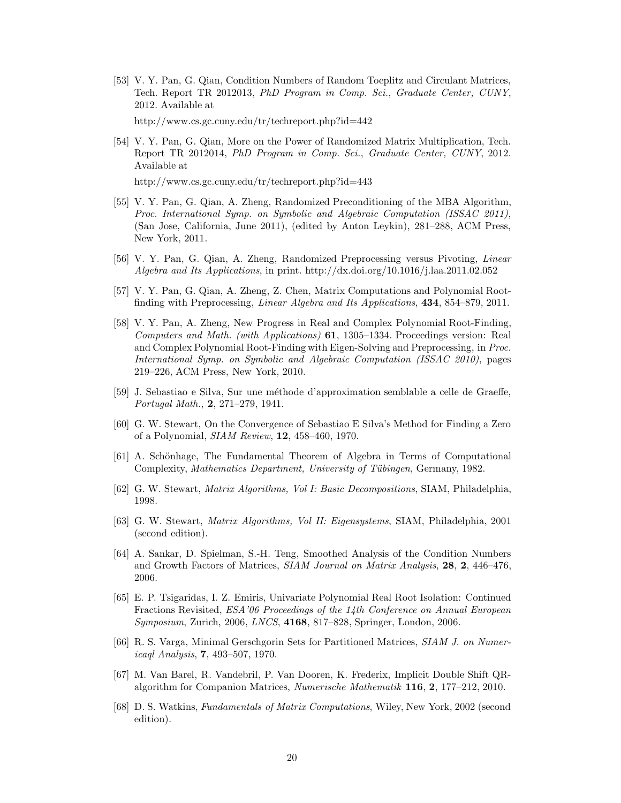[53] V. Y. Pan, G. Qian, Condition Numbers of Random Toeplitz and Circulant Matrices, Tech. Report TR 2012013, *PhD Program in Comp. Sci.*, *Graduate Center, CUNY*, 2012. Available at

http://www.cs.gc.cuny.edu/tr/techreport.php?id=442

[54] V. Y. Pan, G. Qian, More on the Power of Randomized Matrix Multiplication, Tech. Report TR 2012014, *PhD Program in Comp. Sci.*, *Graduate Center, CUNY*, 2012. Available at

http://www.cs.gc.cuny.edu/tr/techreport.php?id=443

- [55] V. Y. Pan, G. Qian, A. Zheng, Randomized Preconditioning of the MBA Algorithm, *Proc. International Symp. on Symbolic and Algebraic Computation (ISSAC 2011)*, (San Jose, California, June 2011), (edited by Anton Leykin), 281–288, ACM Press, New York, 2011.
- [56] V. Y. Pan, G. Qian, A. Zheng, Randomized Preprocessing versus Pivoting, *Linear Algebra and Its Applications*, in print. http://dx.doi.org/10.1016/j.laa.2011.02.052
- [57] V. Y. Pan, G. Qian, A. Zheng, Z. Chen, Matrix Computations and Polynomial Rootfinding with Preprocessing, *Linear Algebra and Its Applications*, **434**, 854–879, 2011.
- [58] V. Y. Pan, A. Zheng, New Progress in Real and Complex Polynomial Root-Finding, *Computers and Math. (with Applications)* **61**, 1305–1334. Proceedings version: Real and Complex Polynomial Root-Finding with Eigen-Solving and Preprocessing, in *Proc. International Symp. on Symbolic and Algebraic Computation (ISSAC 2010)*, pages 219–226, ACM Press, New York, 2010.
- [59] J. Sebastiao e Silva, Sur une m´ethode d'approximation semblable a celle de Graeffe, *Portugal Math.*, **2**, 271–279, 1941.
- [60] G. W. Stewart, On the Convergence of Sebastiao E Silva's Method for Finding a Zero of a Polynomial, *SIAM Review*, **12**, 458–460, 1970.
- [61] A. Schönhage, The Fundamental Theorem of Algebra in Terms of Computational Complexity, Mathematics Department, University of Tübingen, Germany, 1982.
- [62] G. W. Stewart, *Matrix Algorithms, Vol I: Basic Decompositions*, SIAM, Philadelphia, 1998.
- [63] G. W. Stewart, *Matrix Algorithms, Vol II: Eigensystems*, SIAM, Philadelphia, 2001 (second edition).
- [64] A. Sankar, D. Spielman, S.-H. Teng, Smoothed Analysis of the Condition Numbers and Growth Factors of Matrices, *SIAM Journal on Matrix Analysis*, **28**, **2**, 446–476, 2006.
- [65] E. P. Tsigaridas, I. Z. Emiris, Univariate Polynomial Real Root Isolation: Continued Fractions Revisited, *ESA'06 Proceedings of the 14th Conference on Annual European Symposium*, Zurich, 2006, *LNCS*, **4168**, 817–828, Springer, London, 2006.
- [66] R. S. Varga, Minimal Gerschgorin Sets for Partitioned Matrices, *SIAM J. on Numericaql Analysis*, **7**, 493–507, 1970.
- [67] M. Van Barel, R. Vandebril, P. Van Dooren, K. Frederix, Implicit Double Shift QRalgorithm for Companion Matrices, *Numerische Mathematik* **116**, **2**, 177–212, 2010.
- [68] D. S. Watkins, *Fundamentals of Matrix Computations*, Wiley, New York, 2002 (second edition).